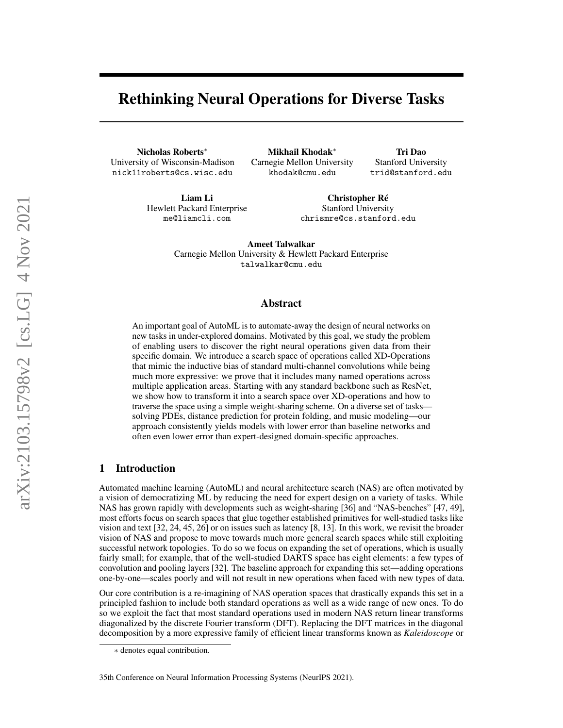# Rethinking Neural Operations for Diverse Tasks

Nicholas Roberts<sup>∗</sup> University of Wisconsin-Madison nick11roberts@cs.wisc.edu

Mikhail Khodak<sup>∗</sup> Carnegie Mellon University khodak@cmu.edu

Tri Dao Stanford University trid@stanford.edu

Liam Li Hewlett Packard Enterprise me@liamcli.com

Christopher Ré Stanford University chrismre@cs.stanford.edu

Ameet Talwalkar Carnegie Mellon University & Hewlett Packard Enterprise talwalkar@cmu.edu

# Abstract

An important goal of AutoML is to automate-away the design of neural networks on new tasks in under-explored domains. Motivated by this goal, we study the problem of enabling users to discover the right neural operations given data from their specific domain. We introduce a search space of operations called XD-Operations that mimic the inductive bias of standard multi-channel convolutions while being much more expressive: we prove that it includes many named operations across multiple application areas. Starting with any standard backbone such as ResNet, we show how to transform it into a search space over XD-operations and how to traverse the space using a simple weight-sharing scheme. On a diverse set of tasks solving PDEs, distance prediction for protein folding, and music modeling—our approach consistently yields models with lower error than baseline networks and often even lower error than expert-designed domain-specific approaches.

# 1 Introduction

Automated machine learning (AutoML) and neural architecture search (NAS) are often motivated by a vision of democratizing ML by reducing the need for expert design on a variety of tasks. While NAS has grown rapidly with developments such as weight-sharing [\[36\]](#page-12-0) and "NAS-benches" [\[47,](#page-13-0) [49\]](#page-13-1), most efforts focus on search spaces that glue together established primitives for well-studied tasks like vision and text [\[32,](#page-12-1) [24,](#page-11-0) [45,](#page-13-2) [26\]](#page-11-1) or on issues such as latency [\[8,](#page-10-0) [13\]](#page-11-2). In this work, we revisit the broader vision of NAS and propose to move towards much more general search spaces while still exploiting successful network topologies. To do so we focus on expanding the set of operations, which is usually fairly small; for example, that of the well-studied DARTS space has eight elements: a few types of convolution and pooling layers [\[32\]](#page-12-1). The baseline approach for expanding this set—adding operations one-by-one—scales poorly and will not result in new operations when faced with new types of data.

Our core contribution is a re-imagining of NAS operation spaces that drastically expands this set in a principled fashion to include both standard operations as well as a wide range of new ones. To do so we exploit the fact that most standard operations used in modern NAS return linear transforms diagonalized by the discrete Fourier transform (DFT). Replacing the DFT matrices in the diagonal decomposition by a more expressive family of efficient linear transforms known as *Kaleidoscope* or

<sup>∗</sup> denotes equal contribution.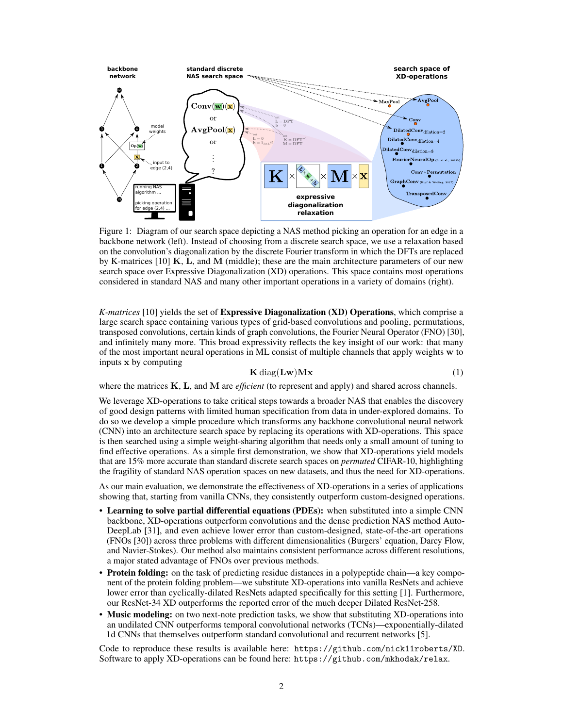

Figure 1: Diagram of our search space depicting a NAS method picking an operation for an edge in a backbone network (left). Instead of choosing from a discrete search space, we use a relaxation based on the convolution's diagonalization by the discrete Fourier transform in which the DFTs are replaced by K-matrices  $[10]$  K, L, and M (middle); these are the main architecture parameters of our new search space over Expressive Diagonalization (XD) operations. This space contains most operations considered in standard NAS and many other important operations in a variety of domains (right).

*K-matrices* [\[10\]](#page-10-1) yields the set of Expressive Diagonalization (XD) Operations, which comprise a large search space containing various types of grid-based convolutions and pooling, permutations, transposed convolutions, certain kinds of graph convolutions, the Fourier Neural Operator (FNO) [\[30\]](#page-12-2), and infinitely many more. This broad expressivity reflects the key insight of our work: that many of the most important neural operations in ML consist of multiple channels that apply weights w to inputs x by computing

$$
\mathbf{K} \operatorname{diag}(\mathbf{L} \mathbf{w}) \mathbf{M} \mathbf{x} \tag{1}
$$

where the matrices K, L, and M are *efficient* (to represent and apply) and shared across channels.

We leverage XD-operations to take critical steps towards a broader NAS that enables the discovery of good design patterns with limited human specification from data in under-explored domains. To do so we develop a simple procedure which transforms any backbone convolutional neural network (CNN) into an architecture search space by replacing its operations with XD-operations. This space is then searched using a simple weight-sharing algorithm that needs only a small amount of tuning to find effective operations. As a simple first demonstration, we show that XD-operations yield models that are 15% more accurate than standard discrete search spaces on *permuted* CIFAR-10, highlighting the fragility of standard NAS operation spaces on new datasets, and thus the need for XD-operations.

As our main evaluation, we demonstrate the effectiveness of XD-operations in a series of applications showing that, starting from vanilla CNNs, they consistently outperform custom-designed operations.

- Learning to solve partial differential equations (PDEs): when substituted into a simple CNN backbone, XD-operations outperform convolutions and the dense prediction NAS method Auto-DeepLab [\[31\]](#page-12-3), and even achieve lower error than custom-designed, state-of-the-art operations (FNOs [\[30\]](#page-12-2)) across three problems with different dimensionalities (Burgers' equation, Darcy Flow, and Navier-Stokes). Our method also maintains consistent performance across different resolutions, a major stated advantage of FNOs over previous methods.
- Protein folding: on the task of predicting residue distances in a polypeptide chain—a key component of the protein folding problem—we substitute XD-operations into vanilla ResNets and achieve lower error than cyclically-dilated ResNets adapted specifically for this setting [\[1\]](#page-10-2). Furthermore, our ResNet-34 XD outperforms the reported error of the much deeper Dilated ResNet-258.
- Music modeling: on two next-note prediction tasks, we show that substituting XD-operations into an undilated CNN outperforms temporal convolutional networks (TCNs)—exponentially-dilated 1d CNNs that themselves outperform standard convolutional and recurrent networks [\[5\]](#page-10-3).

Code to reproduce these results is available here: <https://github.com/nick11roberts/XD>. Software to apply XD-operations can be found here: <https://github.com/mkhodak/relax>.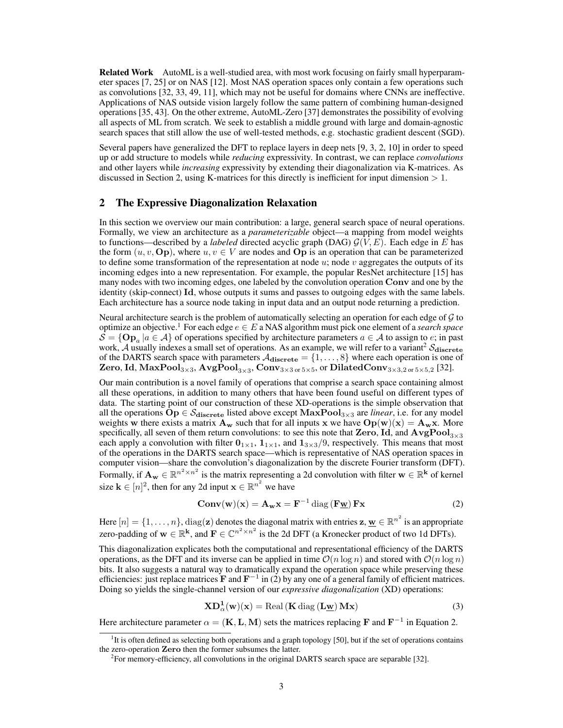**Related Work** AutoML is a well-studied area, with most work focusing on fairly small hyperparameter spaces [\[7,](#page-10-4) [25\]](#page-11-3) or on NAS [\[12\]](#page-11-4). Most NAS operation spaces only contain a few operations such as convolutions [\[32,](#page-12-1) [33,](#page-12-4) [49,](#page-13-1) [11\]](#page-11-5), which may not be useful for domains where CNNs are ineffective. Applications of NAS outside vision largely follow the same pattern of combining human-designed operations [\[35,](#page-12-5) [43\]](#page-13-3). On the other extreme, AutoML-Zero [\[37\]](#page-12-6) demonstrates the possibility of evolving all aspects of ML from scratch. We seek to establish a middle ground with large and domain-agnostic search spaces that still allow the use of well-tested methods, e.g. stochastic gradient descent (SGD).

Several papers have generalized the DFT to replace layers in deep nets [\[9,](#page-10-5) [3,](#page-10-6) [2,](#page-10-7) [10\]](#page-10-1) in order to speed up or add structure to models while *reducing* expressivity. In contrast, we can replace *convolutions* and other layers while *increasing* expressivity by extending their diagonalization via K-matrices. As discussed in Section [2,](#page-2-0) using K-matrices for this directly is inefficient for input dimension > 1.

### <span id="page-2-0"></span>2 The Expressive Diagonalization Relaxation

In this section we overview our main contribution: a large, general search space of neural operations. Formally, we view an architecture as a *parameterizable* object—a mapping from model weights to functions—described by a *labeled* directed acyclic graph (DAG)  $\mathcal{G}(V, E)$ . Each edge in E has the form  $(u, v, \textbf{Op})$ , where  $u, v \in V$  are nodes and  $\textbf{Op}$  is an operation that can be parameterized to define some transformation of the representation at node  $u$ ; node  $v$  aggregates the outputs of its incoming edges into a new representation. For example, the popular ResNet architecture [\[15\]](#page-11-6) has many nodes with two incoming edges, one labeled by the convolution operation Conv and one by the identity (skip-connect) Id, whose outputs it sums and passes to outgoing edges with the same labels. Each architecture has a source node taking in input data and an output node returning a prediction.

Neural architecture search is the problem of automatically selecting an operation for each edge of  $\mathcal G$  to optimize an objective.<sup>[1](#page-2-1)</sup> For each edge  $e \in E$  a NAS algorithm must pick one element of a *search space*  $\mathcal{S} = \{ \mathbf{Op}_a | a \in \mathcal{A} \}$  of operations specified by architecture parameters  $a \in \mathcal{A}$  to assign to  $e$ ; in past work,  $\hat{A}$  usually indexes a small set of operations. As an example, we will refer to a variant<sup>[2](#page-2-2)</sup>  $S_{discrete}$ of the DARTS search space with parameters  $A_{\text{discrete}} = \{1, \ldots, 8\}$  where each operation is one of  $\rm{Zero}, \rm{Id}, \rm{MaxPool}_{3\times3}, \rm{AvgPool}_{3\times3}, \rm{Conv}_{3\times3 \text{ or } 5\times5,} \rm{or \, DilatedConv}_{3\times3,2 \text{ or } 5\times5,2} \rm{[32].}$  $\rm{Zero}, \rm{Id}, \rm{MaxPool}_{3\times3}, \rm{AvgPool}_{3\times3}, \rm{Conv}_{3\times3 \text{ or } 5\times5,} \rm{or \, DilatedConv}_{3\times3,2 \text{ or } 5\times5,2} \rm{[32].}$  $\rm{Zero}, \rm{Id}, \rm{MaxPool}_{3\times3}, \rm{AvgPool}_{3\times3}, \rm{Conv}_{3\times3 \text{ or } 5\times5,} \rm{or \, DilatedConv}_{3\times3,2 \text{ or } 5\times5,2} \rm{[32].}$ 

Our main contribution is a novel family of operations that comprise a search space containing almost all these operations, in addition to many others that have been found useful on different types of data. The starting point of our construction of these XD-operations is the simple observation that all the operations  $Op \in \mathcal{S}_{discrete}$  listed above except  $MaxPool_{3\times 3}$  are *linear*, i.e. for any model weights w there exists a matrix  $A_w$  such that for all inputs x we have  $Op(w)(x) = A_w x$ . More specifically, all seven of them return convolutions: to see this note that Zero, Id, and  $AvgPool_{3\times3}$ each apply a convolution with filter  $0_{1\times1}$ ,  $1_{1\times1}$ , and  $1_{3\times3}/9$ , respectively. This means that most of the operations in the DARTS search space—which is representative of NAS operation spaces in computer vision—share the convolution's diagonalization by the discrete Fourier transform (DFT). Formally, if  $A_w \in \mathbb{R}^{n^2 \times n^2}$  is the matrix representing a 2d convolution with filter  $w \in \mathbb{R}^k$  of kernel size  $\mathbf{k} \in [n]^2$ , then for any 2d input  $\mathbf{x} \in \mathbb{R}^{n^2}$  we have

<span id="page-2-3"></span>
$$
Conv(w)(x) = A_w x = F^{-1} \operatorname{diag} (F \underline{w}) Fx
$$
 (2)

Here  $[n] = \{1, \ldots, n\}$ , diag(z) denotes the diagonal matrix with entries  $z, \underline{w} \in \mathbb{R}^{n^2}$  is an appropriate zero-padding of  $w \in \mathbb{R}^k$ , and  $F \in \mathbb{C}^{n^2 \times n^2}$  is the 2d DFT (a Kronecker product of two 1d DFTs).

This diagonalization explicates both the computational and representational efficiency of the DARTS operations, as the DFT and its inverse can be applied in time  $\mathcal{O}(n \log n)$  and stored with  $\mathcal{O}(n \log n)$ bits. It also suggests a natural way to dramatically expand the operation space while preserving these efficiencies: just replace matrices  $\mathbf{F}$  and  $\mathbf{F}^{-1}$  in [\(2\)](#page-2-3) by any one of a general family of efficient matrices. Doing so yields the single-channel version of our *expressive diagonalization* (XD) operations:

<span id="page-2-4"></span>
$$
\mathbf{XD}_{\alpha}^{1}(\mathbf{w})(\mathbf{x}) = \text{Real}(\mathbf{K} \text{ diag}(\mathbf{L}\underline{\mathbf{w}})\mathbf{M}\mathbf{x})
$$
\n(3)

Here architecture parameter  $\alpha = (\mathbf{K}, \mathbf{L}, \mathbf{M})$  sets the matrices replacing F and  $\mathbf{F}^{-1}$  in Equation [2.](#page-2-3)

<span id="page-2-1"></span><sup>&</sup>lt;sup>1</sup>It is often defined as selecting both operations and a graph topology [\[50\]](#page-13-4), but if the set of operations contains the zero-operation Zero then the former subsumes the latter.

<span id="page-2-2"></span> ${}^{2}$ For memory-efficiency, all convolutions in the original DARTS search space are separable [\[32\]](#page-12-1).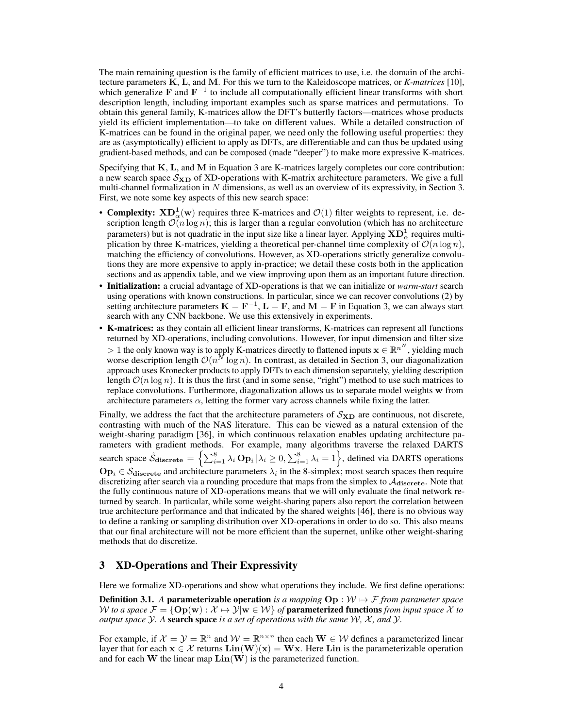The main remaining question is the family of efficient matrices to use, i.e. the domain of the architecture parameters K, L, and M. For this we turn to the Kaleidoscope matrices, or *K-matrices* [\[10\]](#page-10-1), which generalize F and  $F^{-1}$  to include all computationally efficient linear transforms with short description length, including important examples such as sparse matrices and permutations. To obtain this general family, K-matrices allow the DFT's butterfly factors—matrices whose products yield its efficient implementation—to take on different values. While a detailed construction of K-matrices can be found in the original paper, we need only the following useful properties: they are as (asymptotically) efficient to apply as DFTs, are differentiable and can thus be updated using gradient-based methods, and can be composed (made "deeper") to make more expressive K-matrices.

Specifying that K, L, and M in Equation [3](#page-2-4) are K-matrices largely completes our core contribution: a new search space  $S_{\text{XD}}$  of XD-operations with K-matrix architecture parameters. We give a full multi-channel formalization in  $N$  dimensions, as well as an overview of its expressivity, in Section [3.](#page-3-0) First, we note some key aspects of this new search space:

- Complexity:  $\text{XD}^1_{\alpha}(\text{w})$  requires three K-matrices and  $\mathcal{O}(1)$  filter weights to represent, i.e. description length  $\mathcal{O}(n \log n)$ ; this is larger than a regular convolution (which has no architecture parameters) but is not quadratic in the input size like a linear layer. Applying  $\bf{XD}^{1}_{\alpha}$  requires multiplication by three K-matrices, yielding a theoretical per-channel time complexity of  $\mathcal{O}(n \log n)$ , matching the efficiency of convolutions. However, as XD-operations strictly generalize convolutions they are more expensive to apply in-practice; we detail these costs both in the application sections and as appendix table, and we view improving upon them as an important future direction.
- Initialization: a crucial advantage of XD-operations is that we can initialize or *warm-start* search using operations with known constructions. In particular, since we can recover convolutions [\(2\)](#page-2-3) by setting architecture parameters  $K = F^{-1}$ ,  $L = F$ , and  $M = F$  in Equation [3,](#page-2-4) we can always start search with any CNN backbone. We use this extensively in experiments.
- K-matrices: as they contain all efficient linear transforms, K-matrices can represent all functions returned by XD-operations, including convolutions. However, for input dimension and filter size > 1 the only known way is to apply K-matrices directly to flattened inputs  $\mathbf{x} \in \mathbb{R}^{n^N}$ , yielding much worse description length  $\mathcal{O}(n^N \log n)$ . In contrast, as detailed in Section [3,](#page-3-0) our diagonalization approach uses Kronecker products to apply DFTs to each dimension separately, yielding description length  $\mathcal{O}(n \log n)$ . It is thus the first (and in some sense, "right") method to use such matrices to replace convolutions. Furthermore, diagonalization allows us to separate model weights w from architecture parameters  $\alpha$ , letting the former vary across channels while fixing the latter.

Finally, we address the fact that the architecture parameters of  $S_{\text{XD}}$  are continuous, not discrete, contrasting with much of the NAS literature. This can be viewed as a natural extension of the weight-sharing paradigm [\[36\]](#page-12-0), in which continuous relaxation enables updating architecture parameters with gradient methods. For example, many algorithms traverse the relaxed DARTS search space  $\tilde{S}_{\text{discrete}} = \left\{ \sum_{i=1}^{8} \lambda_i \mathbf{Op}_i | \lambda_i \ge 0, \sum_{i=1}^{8} \lambda_i = 1 \right\}$ , defined via DARTS operations  $\text{Op}_i \in \mathcal{S}_{\text{discrete}}$  and architecture parameters  $\lambda_i$  in the 8-simplex; most search spaces then require discretizing after search via a rounding procedure that maps from the simplex to  $A_{discrete}$ . Note that the fully continuous nature of XD-operations means that we will only evaluate the final network returned by search. In particular, while some weight-sharing papers also report the correlation between true architecture performance and that indicated by the shared weights [\[46\]](#page-13-5), there is no obvious way to define a ranking or sampling distribution over XD-operations in order to do so. This also means that our final architecture will not be more efficient than the supernet, unlike other weight-sharing methods that do discretize.

# <span id="page-3-0"></span>3 XD-Operations and Their Expressivity

Here we formalize XD-operations and show what operations they include. We first define operations:

<span id="page-3-1"></span>**Definition 3.1.** A **parameterizable operation** is a mapping  $\text{Op}: \mathcal{W} \rightarrow \mathcal{F}$  *from parameter space* W *to a space*  $\mathcal{F} = \{ \mathbf{Op}(\mathbf{w}) : \mathcal{X} \mapsto \mathcal{Y} | \mathbf{w} \in \mathcal{W} \}$  *of* parameterized functions *from input space*  $\mathcal{X}$  *to output space*  $Y$ *.* A **search space** *is a set of operations with the same*  $W$ *,*  $X$ *, and*  $Y$ *.* 

For example, if  $\mathcal{X} = \mathcal{Y} = \mathbb{R}^n$  and  $\mathcal{W} = \mathbb{R}^{n \times n}$  then each  $\mathbf{W} \in \mathcal{W}$  defines a parameterized linear layer that for each  $x \in \mathcal{X}$  returns  $\text{Lin}(W)(x) = Wx$ . Here Lin is the parameterizable operation and for each W the linear map  $\text{Lin}(W)$  is the parameterized function.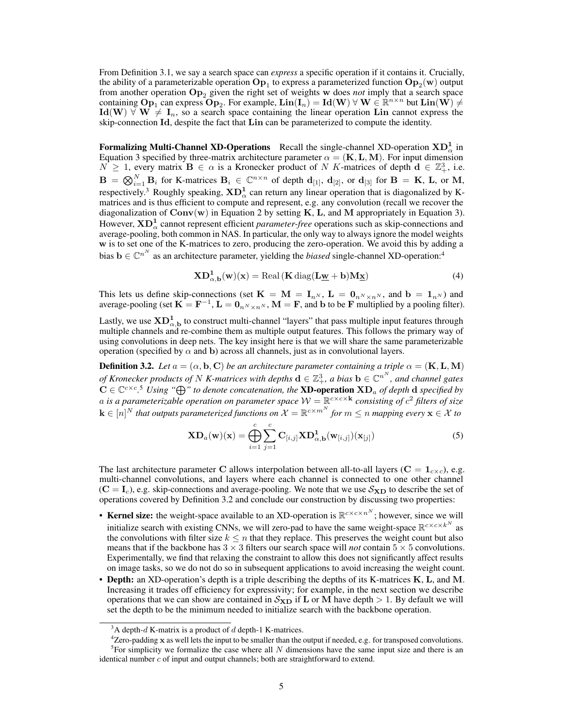From Definition [3.1,](#page-3-1) we say a search space can *express* a specific operation if it contains it. Crucially, the ability of a parameterizable operation  $\textbf{Op}_1$  to express a parameterized function  $\textbf{Op}_2(\textbf{w})$  output from another operation Op<sup>2</sup> given the right set of weights w does *not* imply that a search space containing  $Op_1$  can express  $Op_2$ . For example,  $Lin(I_n) = Id(W)$   $\forall$   $W \in \mathbb{R}^{n \times n}$  but  $Lin(W) \neq$  $Id(W) \nabla W \neq I_n$ , so a search space containing the linear operation Lin cannot express the skip-connection Id, despite the fact that Lin can be parameterized to compute the identity.

Formalizing Multi-Channel XD-Operations Recall the single-channel XD-operation  $\text{XD}^1_\alpha$  in Equation [3](#page-2-4) specified by three-matrix architecture parameter  $\alpha = (\mathbf{K}, \mathbf{L}, \mathbf{M})$ . For input dimension  $N \geq 1$ , every matrix  $\mathbf{B} \in \alpha$  is a Kronecker product of N K-matrices of depth  $\mathbf{d} \in \mathbb{Z}_+^3$ , i.e.  $\mathbf{B} \,=\, \bigotimes_{i=1}^N \mathbf{B}_i$  for K-matrices  $\mathbf{B}_i \,\in\, \mathbb{C}^{n\times n}$  of depth  $\mathbf{d}_{[1]},\ \mathbf{d}_{[2]},\ \text{or}\ \mathbf{d}_{[3]}$  for  $\mathbf{B} \,=\, \mathbf{K},\ \mathbf{L},\ \text{or}\ \mathbf{M},\,$ respectively.<sup>[3](#page-4-0)</sup> Roughly speaking,  $\mathbf{XD}_{\alpha}^1$  can return any linear operation that is diagonalized by Kmatrices and is thus efficient to compute and represent, e.g. any convolution (recall we recover the diagonalization of  $Conv(w)$  in Equation [2](#page-2-3) by setting K, L, and M appropriately in Equation [3\)](#page-2-4). However,  $\mathbf{XD}^\mathbf{1}_\alpha$  cannot represent efficient *parameter-free* operations such as skip-connections and average-pooling, both common in NAS. In particular, the only way to always ignore the model weights w is to set one of the K-matrices to zero, producing the zero-operation. We avoid this by adding a bias  $\mathbf{b} \in \mathbb{C}^{n^N}$  as an architecture parameter, yielding the *biased* single-channel XD-operation:<sup>[4](#page-4-1)</sup>

$$
\mathbf{XD}_{\alpha,\mathbf{b}}^{1}(\mathbf{w})(\mathbf{x}) = \text{Real}\left(\mathbf{K}\,\text{diag}(\mathbf{L}\underline{\mathbf{w}} + \mathbf{b})\mathbf{M}\underline{\mathbf{x}}\right) \tag{4}
$$

This lets us define skip-connections (set  $\mathbf{K} = \mathbf{M} = \mathbf{I}_{n^N}$ ,  $\mathbf{L} = \mathbf{0}_{n^N \times n^N}$ , and  $\mathbf{b} = \mathbf{1}_{n^N}$ ) and average-pooling (set  $\mathbf{K} = \mathbf{F}^{-1}$ ,  $\mathbf{L} = \mathbf{0}_{n^N \times n^N}$ ,  $\mathbf{M} = \mathbf{F}$ , and b to be  $\mathbf{F}$  multiplied by a pooling filter).

Lastly, we use  $\mathrm{XD}^1_{\alpha,\mathbf{b}}$  to construct multi-channel "layers" that pass multiple input features through multiple channels and re-combine them as multiple output features. This follows the primary way of using convolutions in deep nets. The key insight here is that we will share the same parameterizable operation (specified by  $\alpha$  and b) across all channels, just as in convolutional layers.

<span id="page-4-3"></span>**Definition 3.2.** *Let*  $a = (\alpha, \mathbf{b}, \mathbf{C})$  *be an architecture parameter containing a triple*  $\alpha = (\mathbf{K}, \mathbf{L}, \mathbf{M})$ of Kronecker products of  $N$  K-matrices with depths  $\mathbf{d}\in\mathbb{Z}_+^3$ , a bias  $\mathbf{b}\in\mathbb{C}^{n^N}$ , and channel gates  $C \in \mathbb{C}^{c \times c}$ .<sup>[5](#page-4-2)</sup> *Using* " $\bigoplus$ " to denote concatenation, the **XD-operation XD**<sub>a</sub> of depth **d** specified by a is a parameterizable operation on parameter space  $W = \mathbb{R}^{c \times c \times k}$  consisting of  $c^2$  filters of size  $\mathbf{k}\in[n]^N$  that outputs parameterized functions on  $\mathcal{X}=\mathbb{R}^{c\times m^N}$  for  $m\leq n$  mapping every  $\mathbf{x}\in\mathcal{X}$  to

$$
\mathbf{XD}_{a}(\mathbf{w})(\mathbf{x}) = \bigoplus_{i=1}^{c} \sum_{j=1}^{c} \mathbf{C}_{[i,j]} \mathbf{XD}_{\alpha, \mathbf{b}}^{1}(\mathbf{w}_{[i,j]})(\mathbf{x}_{[j]})
$$
(5)

The last architecture parameter C allows interpolation between all-to-all layers ( $C = 1_{c \times c}$ ), e.g. multi-channel convolutions, and layers where each channel is connected to one other channel  $(C = I_c)$ , e.g. skip-connections and average-pooling. We note that we use  $S_{\text{XD}}$  to describe the set of operations covered by Definition [3.2](#page-4-3) and conclude our construction by discussing two properties:

- Kernel size: the weight-space available to an XD-operation is  $\mathbb{R}^{c \times c \times n^N}$ ; however, since we will initialize search with existing CNNs, we will zero-pad to have the same weight-space  $\mathbb{R}^{c \times c \times k^N}$  as the convolutions with filter size  $k \leq n$  that they replace. This preserves the weight count but also means that if the backbone has  $3 \times 3$  filters our search space will *not* contain  $5 \times 5$  convolutions. Experimentally, we find that relaxing the constraint to allow this does not significantly affect results on image tasks, so we do not do so in subsequent applications to avoid increasing the weight count.
- Depth: an XD-operation's depth is a triple describing the depths of its K-matrices K, L, and M. Increasing it trades off efficiency for expressivity; for example, in the next section we describe operations that we can show are contained in  $S_{\text{XD}}$  if **L** or **M** have depth  $> 1$ . By default we will set the depth to be the minimum needed to initialize search with the backbone operation.

<span id="page-4-1"></span><span id="page-4-0"></span><sup>&</sup>lt;sup>3</sup>A depth-d K-matrix is a product of d depth-1 K-matrices.

<span id="page-4-2"></span> ${}^{4}$ Zero-padding  $x$  as well lets the input to be smaller than the output if needed, e.g. for transposed convolutions.  ${}^{5}$ For simplicity we formalize the case where all N dimensions have the same input size and there is an identical number  $c$  of input and output channels; both are straightforward to extend.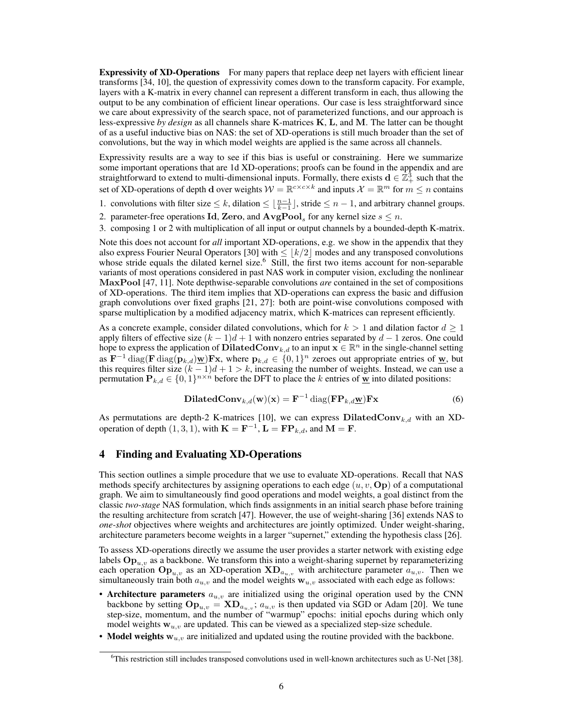**Expressivity of XD-Operations** For many papers that replace deep net layers with efficient linear transforms [\[34,](#page-12-7) [10\]](#page-10-1), the question of expressivity comes down to the transform capacity. For example, layers with a K-matrix in every channel can represent a different transform in each, thus allowing the output to be any combination of efficient linear operations. Our case is less straightforward since we care about expressivity of the search space, not of parameterized functions, and our approach is less-expressive *by design* as all channels share K-matrices K, L, and M. The latter can be thought of as a useful inductive bias on NAS: the set of XD-operations is still much broader than the set of convolutions, but the way in which model weights are applied is the same across all channels.

Expressivity results are a way to see if this bias is useful or constraining. Here we summarize some important operations that are 1d XD-operations; proofs can be found in the appendix and are straightforward to extend to multi-dimensional inputs. Formally, there exists  $\mathbf{d} \in \mathbb{Z}_+^3$  such that the set of XD-operations of depth d over weights  $W = \mathbb{R}^{c \times c \times k}$  and inputs  $\mathcal{X} = \mathbb{R}^m$  for  $m \le n$  contains

1. convolutions with filter size  $\leq k$ , dilation  $\leq \lfloor \frac{n-1}{k-1} \rfloor$ , stride  $\leq n-1$ , and arbitrary channel groups.

2. parameter-free operations **Id**, **Zero**, and  $\mathbf{AvgPool}_s$  for any kernel size  $s \leq n$ .

3. composing 1 or 2 with multiplication of all input or output channels by a bounded-depth K-matrix.

Note this does not account for *all* important XD-operations, e.g. we show in the appendix that they also express Fourier Neural Operators [\[30\]](#page-12-2) with  $\leq \lfloor k/2 \rfloor$  modes and any transposed convolutions whose stride equals the dilated kernel size.<sup>[6](#page-5-0)</sup> Still, the first two items account for non-separable variants of most operations considered in past NAS work in computer vision, excluding the nonlinear MaxPool [\[47,](#page-13-0) [11\]](#page-11-5). Note depthwise-separable convolutions *are* contained in the set of compositions of XD-operations. The third item implies that XD-operations can express the basic and diffusion graph convolutions over fixed graphs [\[21,](#page-11-7) [27\]](#page-12-8): both are point-wise convolutions composed with sparse multiplication by a modified adjacency matrix, which K-matrices can represent efficiently.

As a concrete example, consider dilated convolutions, which for  $k > 1$  and dilation factor  $d \ge 1$ apply filters of effective size  $(k - 1)d + 1$  with nonzero entries separated by  $d - 1$  zeros. One could hope to express the application of DilatedConv<sub>k,d</sub> to an input  $\mathbf{x} \in \mathbb{R}^n$  in the single-channel setting as  $\mathbf{F}^{-1} \text{diag}(\mathbf{F} \text{diag}(\mathbf{p}_{k,d})\underline{\mathbf{w}})\mathbf{F}\mathbf{x}$ , where  $\mathbf{p}_{k,d} \in \{0,1\}^n$  zeroes out appropriate entries of  $\underline{\mathbf{w}}$ , but this requires filter size  $(k - 1)d + 1 > k$ , increasing the number of weights. Instead, we can use a permutation  $\mathbf{P}_{k,d} \in \{0,1\}^{n \times n}$  before the DFT to place the k entries of  $\mathbf{\underline{w}}$  into dilated positions:

$$
\textbf{DilatedConv}_{k,d}(\mathbf{w})(\mathbf{x}) = \mathbf{F}^{-1} \text{diag}(\mathbf{F} \mathbf{P}_{k,d} \mathbf{\underline{w}}) \mathbf{F} \mathbf{x}
$$
 (6)

As permutations are depth-2 K-matrices [\[10\]](#page-10-1), we can express  $DilatedConv_{k,d}$  with an XDoperation of depth  $(1,3,1)$ , with  $\mathbf{K} = \mathbf{F}^{-1}$ ,  $\mathbf{L} = \mathbf{F} \mathbf{P}_{k,d}$ , and  $\mathbf{M} = \mathbf{F}$ .

# <span id="page-5-1"></span>4 Finding and Evaluating XD-Operations

This section outlines a simple procedure that we use to evaluate XD-operations. Recall that NAS methods specify architectures by assigning operations to each edge  $(u, v, \text{Op})$  of a computational graph. We aim to simultaneously find good operations and model weights, a goal distinct from the classic *two-stage* NAS formulation, which finds assignments in an initial search phase before training the resulting architecture from scratch [\[47\]](#page-13-0). However, the use of weight-sharing [\[36\]](#page-12-0) extends NAS to *one-shot* objectives where weights and architectures are jointly optimized. Under weight-sharing, architecture parameters become weights in a larger "supernet," extending the hypothesis class [\[26\]](#page-11-1).

To assess XD-operations directly we assume the user provides a starter network with existing edge labels  $\text{Op}_{u,v}$  as a backbone. We transform this into a weight-sharing supernet by reparameterizing each operation  $\text{Op}_{u,v}$  as an XD-operation  $\text{XD}_{a_{u,v}}$  with architecture parameter  $a_{u,v}$ . Then we simultaneously train both  $a_{u,v}$  and the model weights  $\mathbf{w}_{u,v}$  associated with each edge as follows:

- Architecture parameters  $a_{u,v}$  are initialized using the original operation used by the CNN backbone by setting  $\mathbf{Op}_{u,v} = \mathbf{XD}_{a_{u,v}}$ ;  $a_{u,v}$  is then updated via SGD or Adam [\[20\]](#page-11-8). We tune step-size, momentum, and the number of "warmup" epochs: initial epochs during which only model weights  $w_{u,v}$  are updated. This can be viewed as a specialized step-size schedule.
- Model weights  $w_{u,v}$  are initialized and updated using the routine provided with the backbone.

<span id="page-5-0"></span><sup>6</sup>This restriction still includes transposed convolutions used in well-known architectures such as U-Net [\[38\]](#page-12-9).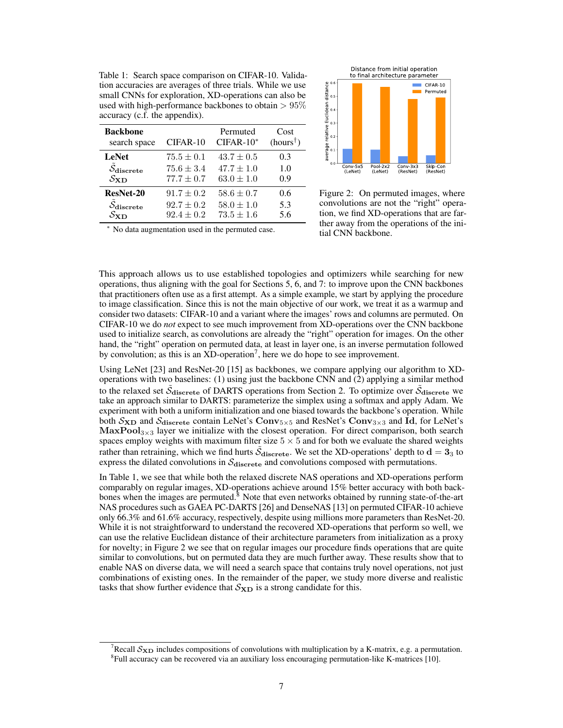<span id="page-6-3"></span><span id="page-6-1"></span>Table 1: Search space comparison on CIFAR-10. Validation accuracies are averages of three trials. While we use small CNNs for exploration, XD-operations can also be used with high-performance backbones to obtain  $> 95\%$ accuracy (c.f. the appendix).

| <b>Backbone</b>                   | CIFAR-10       | Permuted       | Cost                |
|-----------------------------------|----------------|----------------|---------------------|
| search space                      |                | $CIFAR-10*$    | $(hours^{\dagger})$ |
| <b>LeNet</b>                      | $75.5 \pm 0.1$ | $43.7 \pm 0.5$ | 0.3                 |
| $\ddot{\mathcal{S}}_{discrete}$   | $75.6 \pm 3.4$ | $47.7 \pm 1.0$ | 1.0                 |
| $S_{\rm{XD}}$                     | $77.7 \pm 0.7$ | $63.0 \pm 1.0$ | 0.9                 |
| ResNet-20                         | $91.7 \pm 0.2$ | $58.6 \pm 0.7$ | 0.6                 |
| $\mathcal{S}_{discrete}$          | $92.7 \pm 0.2$ | $58.0 \pm 1.0$ | 5.3                 |
| $\mathcal{S}\mathbf{x}\mathbf{n}$ | $92.4 + 0.2$   | $73.5 \pm 1.6$ | 5.6                 |



Figure 2: On permuted images, where convolutions are not the "right" operation, we find XD-operations that are farther away from the operations of the initial CNN backbone.

No data augmentation used in the permuted case.

This approach allows us to use established topologies and optimizers while searching for new operations, thus aligning with the goal for Sections [5,](#page-7-0) [6,](#page-8-0) and [7:](#page-9-0) to improve upon the CNN backbones that practitioners often use as a first attempt. As a simple example, we start by applying the procedure to image classification. Since this is not the main objective of our work, we treat it as a warmup and consider two datasets: CIFAR-10 and a variant where the images' rows and columns are permuted. On CIFAR-10 we do *not* expect to see much improvement from XD-operations over the CNN backbone used to initialize search, as convolutions are already the "right" operation for images. On the other hand, the "right" operation on permuted data, at least in layer one, is an inverse permutation followed by convolution; as this is an  $XD$ -operation<sup>[7](#page-6-0)</sup>, here we do hope to see improvement.

Using LeNet [\[23\]](#page-11-9) and ResNet-20 [\[15\]](#page-11-6) as backbones, we compare applying our algorithm to XDoperations with two baselines: (1) using just the backbone CNN and (2) applying a similar method to the relaxed set  $\tilde{S}_{discrete}$  of DARTS operations from Section [2.](#page-2-0) To optimize over  $\tilde{S}_{discrete}$  we take an approach similar to DARTS: parameterize the simplex using a softmax and apply Adam. We experiment with both a uniform initialization and one biased towards the backbone's operation. While both  $S_{\text{XD}}$  and  $S_{\text{discrete}}$  contain LeNet's  $\text{Conv}_{5\times 5}$  and ResNet's  $\text{Conv}_{3\times 3}$  and Id, for LeNet's MaxPool<sub>3 $\times$ 3</sub> layer we initialize with the closest operation. For direct comparison, both search spaces employ weights with maximum filter size  $5 \times 5$  and for both we evaluate the shared weights rather than retraining, which we find hurts  $\tilde{S}_{discrete}$ . We set the XD-operations' depth to  $d = 3_3$  to express the dilated convolutions in  $S_{discrete}$  and convolutions composed with permutations.

In Table [1,](#page-6-1) we see that while both the relaxed discrete NAS operations and XD-operations perform comparably on regular images, XD-operations achieve around 15% better accuracy with both back-bones when the images are permuted.<sup>[8](#page-6-2)</sup> Note that even networks obtained by running state-of-the-art NAS procedures such as GAEA PC-DARTS [\[26\]](#page-11-1) and DenseNAS [\[13\]](#page-11-2) on permuted CIFAR-10 achieve only 66.3% and 61.6% accuracy, respectively, despite using millions more parameters than ResNet-20. While it is not straightforward to understand the recovered XD-operations that perform so well, we can use the relative Euclidean distance of their architecture parameters from initialization as a proxy for novelty; in Figure [2](#page-6-3) we see that on regular images our procedure finds operations that are quite similar to convolutions, but on permuted data they are much further away. These results show that to enable NAS on diverse data, we will need a search space that contains truly novel operations, not just combinations of existing ones. In the remainder of the paper, we study more diverse and realistic tasks that show further evidence that  $S_{\text{XD}}$  is a strong candidate for this.

<span id="page-6-2"></span><span id="page-6-0"></span>Recall  $S_{\text{XD}}$  includes compositions of convolutions with multiplication by a K-matrix, e.g. a permutation. <sup>8</sup>Full accuracy can be recovered via an auxiliary loss encouraging permutation-like K-matrices [\[10\]](#page-10-1).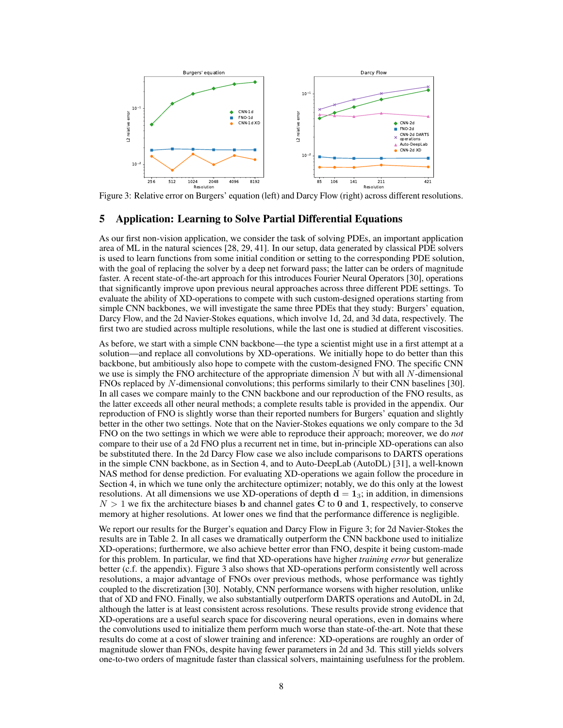<span id="page-7-1"></span>

Figure 3: Relative error on Burgers' equation (left) and Darcy Flow (right) across different resolutions.

# <span id="page-7-0"></span>5 Application: Learning to Solve Partial Differential Equations

As our first non-vision application, we consider the task of solving PDEs, an important application area of ML in the natural sciences [\[28,](#page-12-10) [29,](#page-12-11) [41\]](#page-12-12). In our setup, data generated by classical PDE solvers is used to learn functions from some initial condition or setting to the corresponding PDE solution, with the goal of replacing the solver by a deep net forward pass; the latter can be orders of magnitude faster. A recent state-of-the-art approach for this introduces Fourier Neural Operators [\[30\]](#page-12-2), operations that significantly improve upon previous neural approaches across three different PDE settings. To evaluate the ability of XD-operations to compete with such custom-designed operations starting from simple CNN backbones, we will investigate the same three PDEs that they study: Burgers' equation, Darcy Flow, and the 2d Navier-Stokes equations, which involve 1d, 2d, and 3d data, respectively. The first two are studied across multiple resolutions, while the last one is studied at different viscosities.

As before, we start with a simple CNN backbone—the type a scientist might use in a first attempt at a solution—and replace all convolutions by XD-operations. We initially hope to do better than this backbone, but ambitiously also hope to compete with the custom-designed FNO. The specific CNN we use is simply the FNO architecture of the appropriate dimension  $N$  but with all  $N$ -dimensional FNOs replaced by N-dimensional convolutions; this performs similarly to their CNN baselines [\[30\]](#page-12-2). In all cases we compare mainly to the CNN backbone and our reproduction of the FNO results, as the latter exceeds all other neural methods; a complete results table is provided in the appendix. Our reproduction of FNO is slightly worse than their reported numbers for Burgers' equation and slightly better in the other two settings. Note that on the Navier-Stokes equations we only compare to the 3d FNO on the two settings in which we were able to reproduce their approach; moreover, we do *not* compare to their use of a 2d FNO plus a recurrent net in time, but in-principle XD-operations can also be substituted there. In the 2d Darcy Flow case we also include comparisons to DARTS operations in the simple CNN backbone, as in Section [4,](#page-5-1) and to Auto-DeepLab (AutoDL) [\[31\]](#page-12-3), a well-known NAS method for dense prediction. For evaluating XD-operations we again follow the procedure in Section [4,](#page-5-1) in which we tune only the architecture optimizer; notably, we do this only at the lowest resolutions. At all dimensions we use XD-operations of depth  $d = 1<sub>3</sub>$ ; in addition, in dimensions  $N > 1$  we fix the architecture biases b and channel gates C to 0 and 1, respectively, to conserve memory at higher resolutions. At lower ones we find that the performance difference is negligible.

We report our results for the Burger's equation and Darcy Flow in Figure [3;](#page-7-1) for 2d Navier-Stokes the results are in Table [2.](#page-8-1) In all cases we dramatically outperform the CNN backbone used to initialize XD-operations; furthermore, we also achieve better error than FNO, despite it being custom-made for this problem. In particular, we find that XD-operations have higher *training error* but generalize better (c.f. the appendix). Figure [3](#page-7-1) also shows that XD-operations perform consistently well across resolutions, a major advantage of FNOs over previous methods, whose performance was tightly coupled to the discretization [\[30\]](#page-12-2). Notably, CNN performance worsens with higher resolution, unlike that of XD and FNO. Finally, we also substantially outperform DARTS operations and AutoDL in 2d, although the latter is at least consistent across resolutions. These results provide strong evidence that XD-operations are a useful search space for discovering neural operations, even in domains where the convolutions used to initialize them perform much worse than state-of-the-art. Note that these results do come at a cost of slower training and inference: XD-operations are roughly an order of magnitude slower than FNOs, despite having fewer parameters in 2d and 3d. This still yields solvers one-to-two orders of magnitude faster than classical solvers, maintaining usefulness for the problem.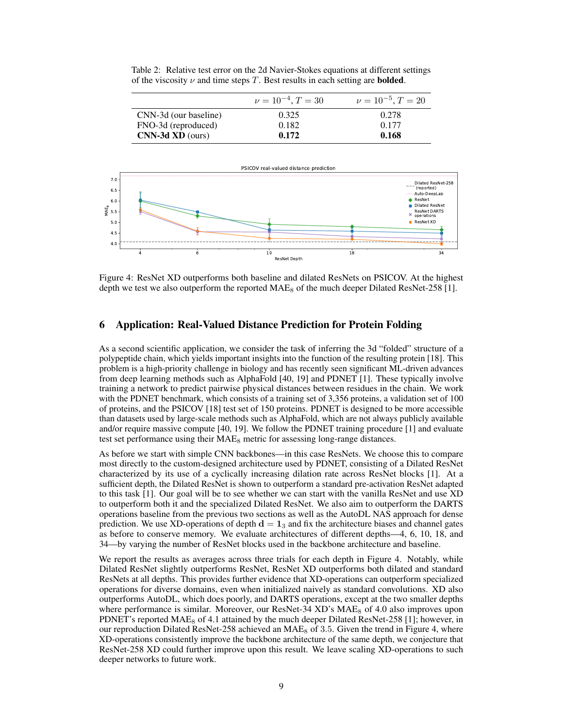|                       | $\nu = 10^{-4}, T = 30$ | $\nu = 10^{-5}, T = 20$ |
|-----------------------|-------------------------|-------------------------|
| CNN-3d (our baseline) | 0.325                   | 0.278                   |
| FNO-3d (reproduced)   | 0.182                   | 0.177                   |
| $CNN-3d XD (ours)$    | 0.172                   | 0.168                   |

<span id="page-8-1"></span>Table 2: Relative test error on the 2d Navier-Stokes equations at different settings of the viscosity  $\nu$  and time steps T. Best results in each setting are **bolded**.

<span id="page-8-2"></span>

Figure 4: ResNet XD outperforms both baseline and dilated ResNets on PSICOV. At the highest depth we test we also outperform the reported  $MAE_8$  of the much deeper Dilated ResNet-258 [\[1\]](#page-10-2).

# <span id="page-8-0"></span>6 Application: Real-Valued Distance Prediction for Protein Folding

As a second scientific application, we consider the task of inferring the 3d "folded" structure of a polypeptide chain, which yields important insights into the function of the resulting protein [\[18\]](#page-11-10). This problem is a high-priority challenge in biology and has recently seen significant ML-driven advances from deep learning methods such as AlphaFold [\[40,](#page-12-13) [19\]](#page-11-11) and PDNET [\[1\]](#page-10-2). These typically involve training a network to predict pairwise physical distances between residues in the chain. We work with the PDNET benchmark, which consists of a training set of 3,356 proteins, a validation set of 100 of proteins, and the PSICOV [\[18\]](#page-11-10) test set of 150 proteins. PDNET is designed to be more accessible than datasets used by large-scale methods such as AlphaFold, which are not always publicly available and/or require massive compute [\[40,](#page-12-13) [19\]](#page-11-11). We follow the PDNET training procedure [\[1\]](#page-10-2) and evaluate test set performance using their  $MAE_8$  metric for assessing long-range distances.

As before we start with simple CNN backbones—in this case ResNets. We choose this to compare most directly to the custom-designed architecture used by PDNET, consisting of a Dilated ResNet characterized by its use of a cyclically increasing dilation rate across ResNet blocks [\[1\]](#page-10-2). At a sufficient depth, the Dilated ResNet is shown to outperform a standard pre-activation ResNet adapted to this task [\[1\]](#page-10-2). Our goal will be to see whether we can start with the vanilla ResNet and use XD to outperform both it and the specialized Dilated ResNet. We also aim to outperform the DARTS operations baseline from the previous two sections as well as the AutoDL NAS approach for dense prediction. We use XD-operations of depth  $d = 1<sub>3</sub>$  and fix the architecture biases and channel gates as before to conserve memory. We evaluate architectures of different depths—4, 6, 10, 18, and 34—by varying the number of ResNet blocks used in the backbone architecture and baseline.

We report the results as averages across three trials for each depth in Figure [4.](#page-8-2) Notably, while Dilated ResNet slightly outperforms ResNet, ResNet XD outperforms both dilated and standard ResNets at all depths. This provides further evidence that XD-operations can outperform specialized operations for diverse domains, even when initialized naively as standard convolutions. XD also outperforms AutoDL, which does poorly, and DARTS operations, except at the two smaller depths where performance is similar. Moreover, our ResNet-34 XD's MAE<sub>8</sub> of 4.0 also improves upon PDNET's reported MAE<sub>8</sub> of 4.1 attained by the much deeper Dilated ResNet-258 [\[1\]](#page-10-2); however, in our reproduction Dilated ResNet-258 achieved an  $MAE_8$  of 3.5. Given the trend in Figure [4,](#page-8-2) where XD-operations consistently improve the backbone architecture of the same depth, we conjecture that ResNet-258 XD could further improve upon this result. We leave scaling XD-operations to such deeper networks to future work.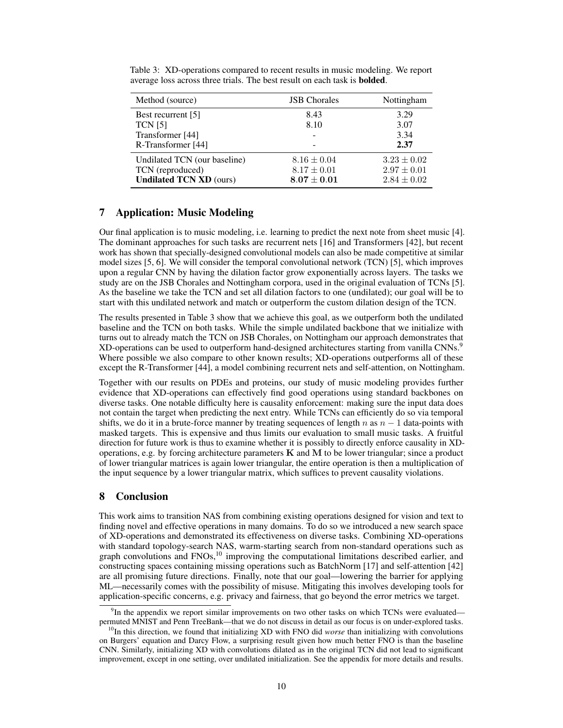| Method (source)                                                                    | <b>JSB</b> Chorales                                 | Nottingham                                            |
|------------------------------------------------------------------------------------|-----------------------------------------------------|-------------------------------------------------------|
| Best recurrent [5]<br><b>TCN [5]</b>                                               | 8.43<br>8.10                                        | 3.29<br>3.07                                          |
| Transformer [44]<br>R-Transformer [44]                                             |                                                     | 3.34<br>2.37                                          |
| Undilated TCN (our baseline)<br>TCN (reproduced)<br><b>Undilated TCN XD (ours)</b> | $8.16 \pm 0.04$<br>$8.17 \pm 0.01$<br>$8.07\pm0.01$ | $3.23 \pm 0.02$<br>$2.97 \pm 0.01$<br>$2.84 \pm 0.02$ |

<span id="page-9-1"></span>Table 3: XD-operations compared to recent results in music modeling. We report average loss across three trials. The best result on each task is bolded.

# <span id="page-9-0"></span>7 Application: Music Modeling

Our final application is to music modeling, i.e. learning to predict the next note from sheet music [\[4\]](#page-10-8). The dominant approaches for such tasks are recurrent nets [\[16\]](#page-11-12) and Transformers [\[42\]](#page-12-14), but recent work has shown that specially-designed convolutional models can also be made competitive at similar model sizes [\[5,](#page-10-3) [6\]](#page-10-9). We will consider the temporal convolutional network (TCN) [\[5\]](#page-10-3), which improves upon a regular CNN by having the dilation factor grow exponentially across layers. The tasks we study are on the JSB Chorales and Nottingham corpora, used in the original evaluation of TCNs [\[5\]](#page-10-3). As the baseline we take the TCN and set all dilation factors to one (undilated); our goal will be to start with this undilated network and match or outperform the custom dilation design of the TCN.

The results presented in Table [3](#page-9-1) show that we achieve this goal, as we outperform both the undilated baseline and the TCN on both tasks. While the simple undilated backbone that we initialize with turns out to already match the TCN on JSB Chorales, on Nottingham our approach demonstrates that XD-operations can be used to outperform hand-designed architectures starting from vanilla CNNs.<sup>[9](#page-9-2)</sup> Where possible we also compare to other known results; XD-operations outperforms all of these except the R-Transformer [\[44\]](#page-13-6), a model combining recurrent nets and self-attention, on Nottingham.

Together with our results on PDEs and proteins, our study of music modeling provides further evidence that XD-operations can effectively find good operations using standard backbones on diverse tasks. One notable difficulty here is causality enforcement: making sure the input data does not contain the target when predicting the next entry. While TCNs can efficiently do so via temporal shifts, we do it in a brute-force manner by treating sequences of length n as  $n - 1$  data-points with masked targets. This is expensive and thus limits our evaluation to small music tasks. A fruitful direction for future work is thus to examine whether it is possibly to directly enforce causality in XDoperations, e.g. by forcing architecture parameters  $K$  and  $M$  to be lower triangular; since a product of lower triangular matrices is again lower triangular, the entire operation is then a multiplication of the input sequence by a lower triangular matrix, which suffices to prevent causality violations.

# 8 Conclusion

This work aims to transition NAS from combining existing operations designed for vision and text to finding novel and effective operations in many domains. To do so we introduced a new search space of XD-operations and demonstrated its effectiveness on diverse tasks. Combining XD-operations with standard topology-search NAS, warm-starting search from non-standard operations such as graph convolutions and FNOs,<sup>[10](#page-9-3)</sup> improving the computational limitations described earlier, and constructing spaces containing missing operations such as BatchNorm [\[17\]](#page-11-13) and self-attention [\[42\]](#page-12-14) are all promising future directions. Finally, note that our goal—lowering the barrier for applying ML—necessarily comes with the possibility of misuse. Mitigating this involves developing tools for application-specific concerns, e.g. privacy and fairness, that go beyond the error metrics we target.

<span id="page-9-2"></span><sup>&</sup>lt;sup>9</sup>In the appendix we report similar improvements on two other tasks on which TCNs were evaluated permuted MNIST and Penn TreeBank—that we do not discuss in detail as our focus is on under-explored tasks.

<span id="page-9-3"></span><sup>10</sup>In this direction, we found that initializing XD with FNO did *worse* than initializing with convolutions on Burgers' equation and Darcy Flow, a surprising result given how much better FNO is than the baseline CNN. Similarly, initializing XD with convolutions dilated as in the original TCN did not lead to significant improvement, except in one setting, over undilated initialization. See the appendix for more details and results.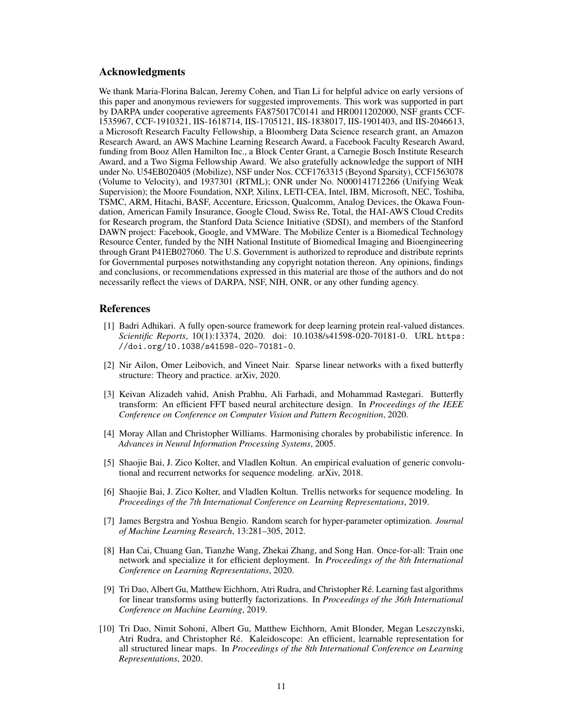### Acknowledgments

We thank Maria-Florina Balcan, Jeremy Cohen, and Tian Li for helpful advice on early versions of this paper and anonymous reviewers for suggested improvements. This work was supported in part by DARPA under cooperative agreements FA875017C0141 and HR0011202000, NSF grants CCF-1535967, CCF-1910321, IIS-1618714, IIS-1705121, IIS-1838017, IIS-1901403, and IIS-2046613, a Microsoft Research Faculty Fellowship, a Bloomberg Data Science research grant, an Amazon Research Award, an AWS Machine Learning Research Award, a Facebook Faculty Research Award, funding from Booz Allen Hamilton Inc., a Block Center Grant, a Carnegie Bosch Institute Research Award, and a Two Sigma Fellowship Award. We also gratefully acknowledge the support of NIH under No. U54EB020405 (Mobilize), NSF under Nos. CCF1763315 (Beyond Sparsity), CCF1563078 (Volume to Velocity), and 1937301 (RTML); ONR under No. N000141712266 (Unifying Weak Supervision); the Moore Foundation, NXP, Xilinx, LETI-CEA, Intel, IBM, Microsoft, NEC, Toshiba, TSMC, ARM, Hitachi, BASF, Accenture, Ericsson, Qualcomm, Analog Devices, the Okawa Foundation, American Family Insurance, Google Cloud, Swiss Re, Total, the HAI-AWS Cloud Credits for Research program, the Stanford Data Science Initiative (SDSI), and members of the Stanford DAWN project: Facebook, Google, and VMWare. The Mobilize Center is a Biomedical Technology Resource Center, funded by the NIH National Institute of Biomedical Imaging and Bioengineering through Grant P41EB027060. The U.S. Government is authorized to reproduce and distribute reprints for Governmental purposes notwithstanding any copyright notation thereon. Any opinions, findings and conclusions, or recommendations expressed in this material are those of the authors and do not necessarily reflect the views of DARPA, NSF, NIH, ONR, or any other funding agency.

### References

- <span id="page-10-2"></span>[1] Badri Adhikari. A fully open-source framework for deep learning protein real-valued distances. *Scientific Reports*, 10(1):13374, 2020. doi: 10.1038/s41598-020-70181-0. URL [https:](https://doi.org/10.1038/s41598-020-70181-0) [//doi.org/10.1038/s41598-020-70181-0](https://doi.org/10.1038/s41598-020-70181-0).
- <span id="page-10-7"></span>[2] Nir Ailon, Omer Leibovich, and Vineet Nair. Sparse linear networks with a fixed butterfly structure: Theory and practice. arXiv, 2020.
- <span id="page-10-6"></span>[3] Keivan Alizadeh vahid, Anish Prabhu, Ali Farhadi, and Mohammad Rastegari. Butterfly transform: An efficient FFT based neural architecture design. In *Proceedings of the IEEE Conference on Conference on Computer Vision and Pattern Recognition*, 2020.
- <span id="page-10-8"></span>[4] Moray Allan and Christopher Williams. Harmonising chorales by probabilistic inference. In *Advances in Neural Information Processing Systems*, 2005.
- <span id="page-10-3"></span>[5] Shaojie Bai, J. Zico Kolter, and Vladlen Koltun. An empirical evaluation of generic convolutional and recurrent networks for sequence modeling. arXiv, 2018.
- <span id="page-10-9"></span>[6] Shaojie Bai, J. Zico Kolter, and Vladlen Koltun. Trellis networks for sequence modeling. In *Proceedings of the 7th International Conference on Learning Representations*, 2019.
- <span id="page-10-4"></span>[7] James Bergstra and Yoshua Bengio. Random search for hyper-parameter optimization. *Journal of Machine Learning Research*, 13:281–305, 2012.
- <span id="page-10-0"></span>[8] Han Cai, Chuang Gan, Tianzhe Wang, Zhekai Zhang, and Song Han. Once-for-all: Train one network and specialize it for efficient deployment. In *Proceedings of the 8th International Conference on Learning Representations*, 2020.
- <span id="page-10-5"></span>[9] Tri Dao, Albert Gu, Matthew Eichhorn, Atri Rudra, and Christopher Ré. Learning fast algorithms for linear transforms using butterfly factorizations. In *Proceedings of the 36th International Conference on Machine Learning*, 2019.
- <span id="page-10-1"></span>[10] Tri Dao, Nimit Sohoni, Albert Gu, Matthew Eichhorn, Amit Blonder, Megan Leszczynski, Atri Rudra, and Christopher Ré. Kaleidoscope: An efficient, learnable representation for all structured linear maps. In *Proceedings of the 8th International Conference on Learning Representations*, 2020.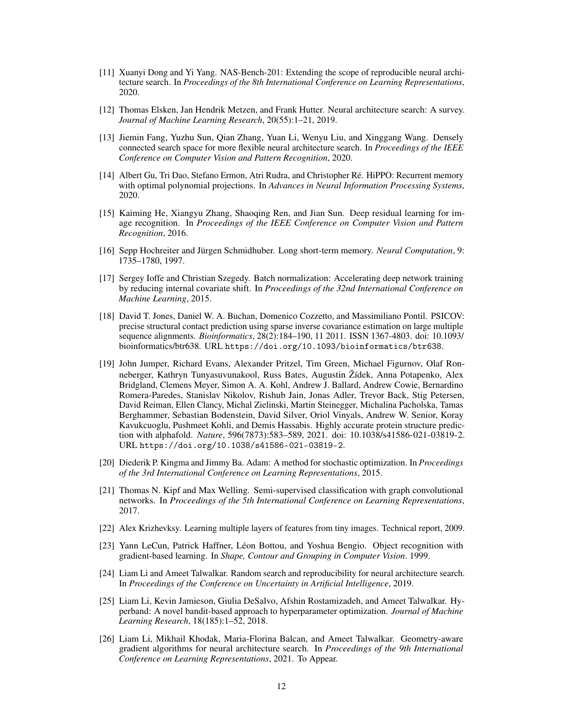- <span id="page-11-5"></span>[11] Xuanyi Dong and Yi Yang. NAS-Bench-201: Extending the scope of reproducible neural architecture search. In *Proceedings of the 8th International Conference on Learning Representations*, 2020.
- <span id="page-11-4"></span>[12] Thomas Elsken, Jan Hendrik Metzen, and Frank Hutter. Neural architecture search: A survey. *Journal of Machine Learning Research*, 20(55):1–21, 2019.
- <span id="page-11-2"></span>[13] Jiemin Fang, Yuzhu Sun, Qian Zhang, Yuan Li, Wenyu Liu, and Xinggang Wang. Densely connected search space for more flexible neural architecture search. In *Proceedings of the IEEE Conference on Computer Vision and Pattern Recognition*, 2020.
- <span id="page-11-15"></span>[14] Albert Gu, Tri Dao, Stefano Ermon, Atri Rudra, and Christopher Ré. HiPPO: Recurrent memory with optimal polynomial projections. In *Advances in Neural Information Processing Systems*, 2020.
- <span id="page-11-6"></span>[15] Kaiming He, Xiangyu Zhang, Shaoqing Ren, and Jian Sun. Deep residual learning for image recognition. In *Proceedings of the IEEE Conference on Computer Vision and Pattern Recognition*, 2016.
- <span id="page-11-12"></span>[16] Sepp Hochreiter and Jürgen Schmidhuber. Long short-term memory. *Neural Computation*, 9: 1735–1780, 1997.
- <span id="page-11-13"></span>[17] Sergey Ioffe and Christian Szegedy. Batch normalization: Accelerating deep network training by reducing internal covariate shift. In *Proceedings of the 32nd International Conference on Machine Learning*, 2015.
- <span id="page-11-10"></span>[18] David T. Jones, Daniel W. A. Buchan, Domenico Cozzetto, and Massimiliano Pontil. PSICOV: precise structural contact prediction using sparse inverse covariance estimation on large multiple sequence alignments. *Bioinformatics*, 28(2):184–190, 11 2011. ISSN 1367-4803. doi: 10.1093/ bioinformatics/btr638. URL <https://doi.org/10.1093/bioinformatics/btr638>.
- <span id="page-11-11"></span>[19] John Jumper, Richard Evans, Alexander Pritzel, Tim Green, Michael Figurnov, Olaf Ronneberger, Kathryn Tunyasuvunakool, Russ Bates, Augustin Žídek, Anna Potapenko, Alex Bridgland, Clemens Meyer, Simon A. A. Kohl, Andrew J. Ballard, Andrew Cowie, Bernardino Romera-Paredes, Stanislav Nikolov, Rishub Jain, Jonas Adler, Trevor Back, Stig Petersen, David Reiman, Ellen Clancy, Michal Zielinski, Martin Steinegger, Michalina Pacholska, Tamas Berghammer, Sebastian Bodenstein, David Silver, Oriol Vinyals, Andrew W. Senior, Koray Kavukcuoglu, Pushmeet Kohli, and Demis Hassabis. Highly accurate protein structure prediction with alphafold. *Nature*, 596(7873):583–589, 2021. doi: 10.1038/s41586-021-03819-2. URL <https://doi.org/10.1038/s41586-021-03819-2>.
- <span id="page-11-8"></span>[20] Diederik P. Kingma and Jimmy Ba. Adam: A method for stochastic optimization. In *Proceedings of the 3rd International Conference on Learning Representations*, 2015.
- <span id="page-11-7"></span>[21] Thomas N. Kipf and Max Welling. Semi-supervised classification with graph convolutional networks. In *Proceedings of the 5th International Conference on Learning Representations*, 2017.
- <span id="page-11-14"></span>[22] Alex Krizhevksy. Learning multiple layers of features from tiny images. Technical report, 2009.
- <span id="page-11-9"></span>[23] Yann LeCun, Patrick Haffner, Léon Bottou, and Yoshua Bengio. Object recognition with gradient-based learning. In *Shape, Contour and Grouping in Computer Vision*. 1999.
- <span id="page-11-0"></span>[24] Liam Li and Ameet Talwalkar. Random search and reproducibility for neural architecture search. In *Proceedings of the Conference on Uncertainty in Artificial Intelligence*, 2019.
- <span id="page-11-3"></span>[25] Liam Li, Kevin Jamieson, Giulia DeSalvo, Afshin Rostamizadeh, and Ameet Talwalkar. Hyperband: A novel bandit-based approach to hyperparameter optimization. *Journal of Machine Learning Research*, 18(185):1–52, 2018.
- <span id="page-11-1"></span>[26] Liam Li, Mikhail Khodak, Maria-Florina Balcan, and Ameet Talwalkar. Geometry-aware gradient algorithms for neural architecture search. In *Proceedings of the 9th International Conference on Learning Representations*, 2021. To Appear.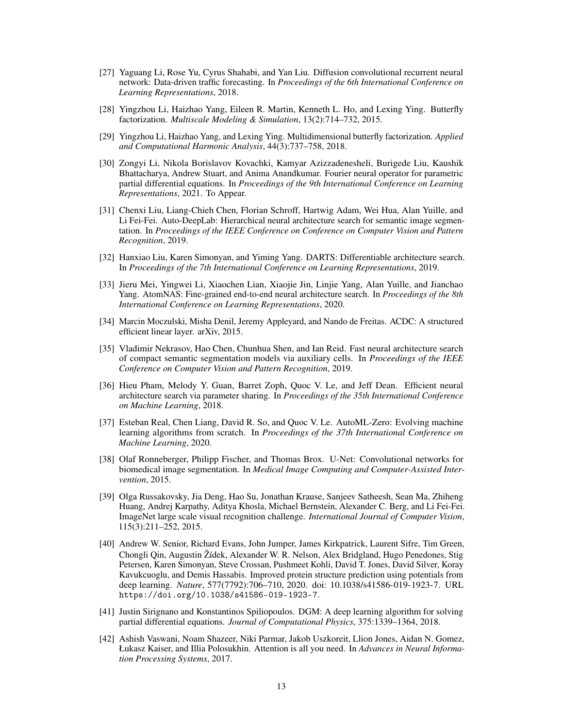- <span id="page-12-8"></span>[27] Yaguang Li, Rose Yu, Cyrus Shahabi, and Yan Liu. Diffusion convolutional recurrent neural network: Data-driven traffic forecasting. In *Proceedings of the 6th International Conference on Learning Representations*, 2018.
- <span id="page-12-10"></span>[28] Yingzhou Li, Haizhao Yang, Eileen R. Martin, Kenneth L. Ho, and Lexing Ying. Butterfly factorization. *Multiscale Modeling & Simulation*, 13(2):714–732, 2015.
- <span id="page-12-11"></span>[29] Yingzhou Li, Haizhao Yang, and Lexing Ying. Multidimensional butterfly factorization. *Applied and Computational Harmonic Analysis*, 44(3):737–758, 2018.
- <span id="page-12-2"></span>[30] Zongyi Li, Nikola Borislavov Kovachki, Kamyar Azizzadenesheli, Burigede Liu, Kaushik Bhattacharya, Andrew Stuart, and Anima Anandkumar. Fourier neural operator for parametric partial differential equations. In *Proceedings of the 9th International Conference on Learning Representations*, 2021. To Appear.
- <span id="page-12-3"></span>[31] Chenxi Liu, Liang-Chieh Chen, Florian Schroff, Hartwig Adam, Wei Hua, Alan Yuille, and Li Fei-Fei. Auto-DeepLab: Hierarchical neural architecture search for semantic image segmentation. In *Proceedings of the IEEE Conference on Conference on Computer Vision and Pattern Recognition*, 2019.
- <span id="page-12-1"></span>[32] Hanxiao Liu, Karen Simonyan, and Yiming Yang. DARTS: Differentiable architecture search. In *Proceedings of the 7th International Conference on Learning Representations*, 2019.
- <span id="page-12-4"></span>[33] Jieru Mei, Yingwei Li, Xiaochen Lian, Xiaojie Jin, Linjie Yang, Alan Yuille, and Jianchao Yang. AtomNAS: Fine-grained end-to-end neural architecture search. In *Proceedings of the 8th International Conference on Learning Representations*, 2020.
- <span id="page-12-7"></span>[34] Marcin Moczulski, Misha Denil, Jeremy Appleyard, and Nando de Freitas. ACDC: A structured efficient linear layer. arXiv, 2015.
- <span id="page-12-5"></span>[35] Vladimir Nekrasov, Hao Chen, Chunhua Shen, and Ian Reid. Fast neural architecture search of compact semantic segmentation models via auxiliary cells. In *Proceedings of the IEEE Conference on Computer Vision and Pattern Recognition*, 2019.
- <span id="page-12-0"></span>[36] Hieu Pham, Melody Y. Guan, Barret Zoph, Quoc V. Le, and Jeff Dean. Efficient neural architecture search via parameter sharing. In *Proceedings of the 35th International Conference on Machine Learning*, 2018.
- <span id="page-12-6"></span>[37] Esteban Real, Chen Liang, David R. So, and Quoc V. Le. AutoML-Zero: Evolving machine learning algorithms from scratch. In *Proceedings of the 37th International Conference on Machine Learning*, 2020.
- <span id="page-12-9"></span>[38] Olaf Ronneberger, Philipp Fischer, and Thomas Brox. U-Net: Convolutional networks for biomedical image segmentation. In *Medical Image Computing and Computer-Assisted Intervention*, 2015.
- <span id="page-12-15"></span>[39] Olga Russakovsky, Jia Deng, Hao Su, Jonathan Krause, Sanjeev Satheesh, Sean Ma, Zhiheng Huang, Andrej Karpathy, Aditya Khosla, Michael Bernstein, Alexander C. Berg, and Li Fei-Fei. ImageNet large scale visual recognition challenge. *International Journal of Computer Vision*, 115(3):211–252, 2015.
- <span id="page-12-13"></span>[40] Andrew W. Senior, Richard Evans, John Jumper, James Kirkpatrick, Laurent Sifre, Tim Green, Chongli Qin, Augustin Žídek, Alexander W. R. Nelson, Alex Bridgland, Hugo Penedones, Stig Petersen, Karen Simonyan, Steve Crossan, Pushmeet Kohli, David T. Jones, David Silver, Koray Kavukcuoglu, and Demis Hassabis. Improved protein structure prediction using potentials from deep learning. *Nature*, 577(7792):706–710, 2020. doi: 10.1038/s41586-019-1923-7. URL <https://doi.org/10.1038/s41586-019-1923-7>.
- <span id="page-12-12"></span>[41] Justin Sirignano and Konstantinos Spiliopoulos. DGM: A deep learning algorithm for solving partial differential equations. *Journal of Computational Physics*, 375:1339–1364, 2018.
- <span id="page-12-14"></span>[42] Ashish Vaswani, Noam Shazeer, Niki Parmar, Jakob Uszkoreit, Llion Jones, Aidan N. Gomez, Łukasz Kaiser, and Illia Polosukhin. Attention is all you need. In *Advances in Neural Information Processing Systems*, 2017.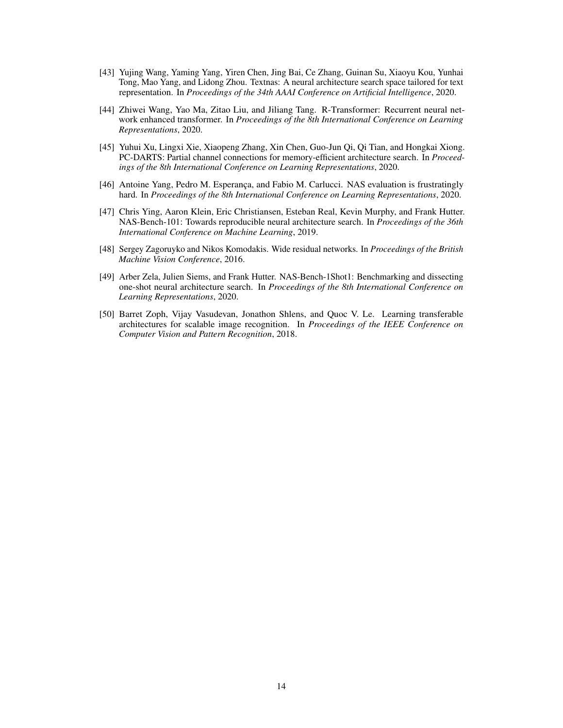- <span id="page-13-3"></span>[43] Yujing Wang, Yaming Yang, Yiren Chen, Jing Bai, Ce Zhang, Guinan Su, Xiaoyu Kou, Yunhai Tong, Mao Yang, and Lidong Zhou. Textnas: A neural architecture search space tailored for text representation. In *Proceedings of the 34th AAAI Conference on Artificial Intelligence*, 2020.
- <span id="page-13-6"></span>[44] Zhiwei Wang, Yao Ma, Zitao Liu, and Jiliang Tang. R-Transformer: Recurrent neural network enhanced transformer. In *Proceedings of the 8th International Conference on Learning Representations*, 2020.
- <span id="page-13-2"></span>[45] Yuhui Xu, Lingxi Xie, Xiaopeng Zhang, Xin Chen, Guo-Jun Qi, Qi Tian, and Hongkai Xiong. PC-DARTS: Partial channel connections for memory-efficient architecture search. In *Proceedings of the 8th International Conference on Learning Representations*, 2020.
- <span id="page-13-5"></span>[46] Antoine Yang, Pedro M. Esperança, and Fabio M. Carlucci. NAS evaluation is frustratingly hard. In *Proceedings of the 8th International Conference on Learning Representations*, 2020.
- <span id="page-13-0"></span>[47] Chris Ying, Aaron Klein, Eric Christiansen, Esteban Real, Kevin Murphy, and Frank Hutter. NAS-Bench-101: Towards reproducible neural architecture search. In *Proceedings of the 36th International Conference on Machine Learning*, 2019.
- <span id="page-13-7"></span>[48] Sergey Zagoruyko and Nikos Komodakis. Wide residual networks. In *Proceedings of the British Machine Vision Conference*, 2016.
- <span id="page-13-1"></span>[49] Arber Zela, Julien Siems, and Frank Hutter. NAS-Bench-1Shot1: Benchmarking and dissecting one-shot neural architecture search. In *Proceedings of the 8th International Conference on Learning Representations*, 2020.
- <span id="page-13-4"></span>[50] Barret Zoph, Vijay Vasudevan, Jonathon Shlens, and Quoc V. Le. Learning transferable architectures for scalable image recognition. In *Proceedings of the IEEE Conference on Computer Vision and Pattern Recognition*, 2018.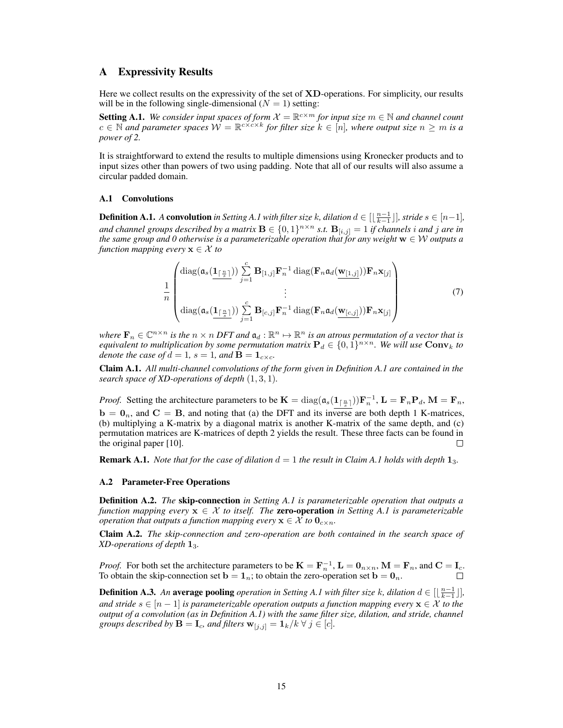# A Expressivity Results

Here we collect results on the expressivity of the set of **XD**-operations. For simplicity, our results will be in the following single-dimensional  $(N = 1)$  setting:

<span id="page-14-0"></span>**Setting A.1.** We consider input spaces of form  $\mathcal{X} = \mathbb{R}^{c \times m}$  for input size  $m \in \mathbb{N}$  and channel count  $c \in \mathbb{N}$  and parameter spaces  $\mathcal{W} = \mathbb{R}^{c \times c \times k}$  for filter size  $k \in [n]$ , where output size  $n \geq m$  is a *power of 2.*

It is straightforward to extend the results to multiple dimensions using Kronecker products and to input sizes other than powers of two using padding. Note that all of our results will also assume a circular padded domain.

#### A.1 Convolutions

<span id="page-14-1"></span>**Definition [A.1](#page-14-0).** *A* convolution in Setting A.1 with filter size k, dilation  $d \in [\lfloor \frac{n-1}{k-1} \rfloor]$ , stride  $s \in [n-1]$ , and channel groups described by a matrix  $\mathbf{B} \in \{0,1\}^{n \times n}$  s.t.  $\mathbf{B}_{[i,j]} = 1$  if channels i and j are in *the same group and 0 otherwise is a parameterizable operation that for any weight*  $w \in W$  *outputs a function mapping every*  $\mathbf{x} \in \mathcal{X}$  *to* 

$$
\frac{1}{n} \begin{pmatrix} \text{diag}(\mathfrak{a}_s(\underbrace{\mathbf{1}_{\lceil \frac{n}{s} \rceil}})) \sum_{j=1}^c \mathbf{B}_{[1,j]} \mathbf{F}_n^{-1} \text{ diag}(\mathbf{F}_n \mathfrak{a}_d(\underbrace{\mathbf{w}_{[1,j]}})) \mathbf{F}_n \mathbf{x}_{[j]} \\ \vdots \\ \text{diag}(\mathfrak{a}_s(\underbrace{\mathbf{1}_{\lceil \frac{n}{s} \rceil}})) \sum_{j=1}^c \mathbf{B}_{[c,j]} \mathbf{F}_n^{-1} \text{ diag}(\mathbf{F}_n \mathfrak{a}_d(\underbrace{\mathbf{w}_{[c,j]}})) \mathbf{F}_n \mathbf{x}_{[j]} \end{pmatrix}
$$
(7)

where  $\mathbf{F}_n \in \mathbb{C}^{n \times n}$  is the  $n \times n$  DFT and  $\mathfrak{a}_d : \mathbb{R}^n \mapsto \mathbb{R}^n$  is an atrous permutation of a vector that is *equivalent to multiplication by some permutation matrix*  $P_d \in \{0,1\}^{n \times n}$ . We will use  $\textbf{Conv}_k$  to *denote the case of*  $d = 1$ ,  $s = 1$ , and  $\mathbf{B} = \mathbf{1}_{c \times c}$ .

<span id="page-14-2"></span>Claim A.1. *All multi-channel convolutions of the form given in Definition [A.1](#page-14-1) are contained in the search space of XD-operations of depth* (1, 3, 1)*.*

*Proof.* Setting the architecture parameters to be  $\mathbf{K} = \text{diag}(\mathfrak{a}_s(\mathbf{1}_{\lceil \frac{n}{s} \rceil})) \mathbf{F}_n^{-1}$ ,  $\mathbf{L} = \mathbf{F}_n \mathbf{P}_d$ ,  $\mathbf{M} = \mathbf{F}_n$ ,  $\mathbf{b} = \mathbf{0}_n$ , and  $\mathbf{C} = \mathbf{B}$ , and noting that (a) the DFT and its inverse are both depth 1 K-matrices, (b) multiplying a K-matrix by a diagonal matrix is another K-matrix of the same depth, and (c) permutation matrices are K-matrices of depth 2 yields the result. These three facts can be found in the original paper [\[10\]](#page-10-1).  $\Box$ 

**Remark [A.1](#page-14-2).** *Note that for the case of dilation*  $d = 1$  *the result in Claim A.1 holds with depth*  $1_3$ *.* 

#### A.2 Parameter-Free Operations

Definition A.2. *The* skip-connection *in Setting [A.1](#page-14-0) is parameterizable operation that outputs a function mapping every*  $x \in \mathcal{X}$  *to itself. The zero-operation in Setting [A.1](#page-14-0) is parameterizable operation that outputs a function mapping every*  $\mathbf{x} \in \mathcal{X}$  to  $\mathbf{0}_{c \times n}$ .

<span id="page-14-3"></span>Claim A.2. *The skip-connection and zero-operation are both contained in the search space of XD-operations of depth* 13*.*

*Proof.* For both set the architecture parameters to be  $\mathbf{K} = \mathbf{F}_n^{-1}$ ,  $\mathbf{L} = \mathbf{0}_{n \times n}$ ,  $\mathbf{M} = \mathbf{F}_n$ , and  $\mathbf{C} = \mathbf{I}_c$ . To obtain the skip-connection set  $\mathbf{b} = \mathbf{1}_n$ ; to obtain the zero-operation set  $\mathbf{b} = \mathbf{0}_n$ .

**Definition A.3.** An **average pooling** *operation in Setting [A.1](#page-14-0) with filter size k, dilation*  $d \in [\lfloor \frac{n-1}{k-1} \rfloor]$ , *and stride*  $s \in [n-1]$  *is parameterizable operation outputs a function mapping every*  $\mathbf{x} \in \mathcal{X}$  to the *output of a convolution (as in Definition [A.1\)](#page-14-1) with the same filter size, dilation, and stride, channel groups described by*  $\mathbf{B} = \mathbf{I}_c$ *, and filters*  $\mathbf{w}_{[j,j]} = \mathbf{1}_k / k \ \forall \ j \in [c]$ *.*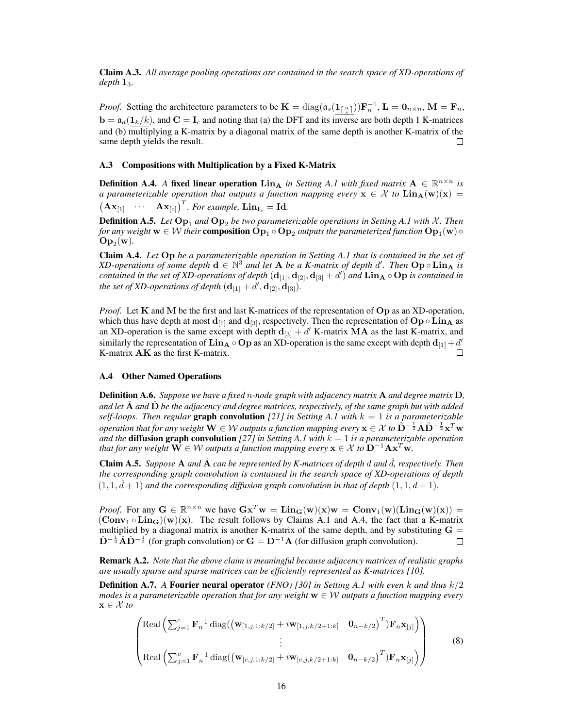Claim A.3. *All average pooling operations are contained in the search space of XD-operations of depth* 13*.*

*Proof.* Setting the architecture parameters to be  $\mathbf{K} = \text{diag}(\mathfrak{a}_s(\mathbf{1}_{\lceil \frac{n}{s} \rceil}))\mathbf{F}_n^{-1}$ ,  $\mathbf{L} = \mathbf{0}_{n \times n}$ ,  $\mathbf{M} = \mathbf{F}_n$ ,  $\mathbf{b} = \mathfrak{a}_d(\mathbf{1}_k/k)$ , and  $\mathbf{C} = \mathbf{I}_c$  and noting that (a) the DFT and its inverse are both depth 1 K-matrices and (b) multiplying a K-matrix by a diagonal matrix of the same depth is another K-matrix of the same depth yields the result. П

#### A.3 Compositions with Multiplication by a Fixed K-Matrix

**Definition A.4.** A fixed linear operation  $\text{Lin}_{\textbf{A}}$  *in Setting [A.1](#page-14-0) with fixed matrix*  $\textbf{A} \in \mathbb{R}^{n \times n}$  *is a parameterizable operation that outputs a function mapping every*  $\mathbf{x} \in \mathcal{X}$  to  $\text{Lin}_{\mathbf{A}}(\mathbf{w})(\mathbf{x}) =$  $(\mathbf{A}\mathbf{x}_{[1]} \quad \cdots \quad \mathbf{A}\mathbf{x}_{[c]})^T$ *. For example,*  $\mathbf{Lin}_{\mathbf{I}_c} = \mathbf{Id}$ *.* 

**Definition A.5.** *Let*  $\text{Op}_1$  *and*  $\text{Op}_2$  *be two parameterizable operations in Setting [A.1](#page-14-0) with* X. *Then* for any weight  $w\in\mathcal{W}$  their  $\bf{composition}$   $\mathbf{Op}_1\circ\mathbf{Op}_2$  outputs the parameterized function  $\mathbf{Op}_1(\mathbf{w})$   $\circ$  $Op_2(w)$ .

<span id="page-15-0"></span>Claim A.4. *Let* Op *be a parameterizable operation in Setting [A.1](#page-14-0) that is contained in the set of XD-operations of some depth*  $d \in \mathbb{N}^3$  *and let* **A** *be a K-matrix of depth*  $d'$ *. Then*  $Op \circ Lin_A$  *is*  $conditioned$  in the set of XD-operations of depth  $({\bf d}_{[1]}, {\bf d}_{[2]}, {\bf d}_{[3]}+d')$  and  ${\bf Lin_A\circ Op}$  is contained in *the set of XD-operations of depth*  $(\mathbf{d}_{[1]} + d', \mathbf{d}_{[2]}, \dot{\mathbf{d}}_{[3]}).$ 

*Proof.* Let K and M be the first and last K-matrices of the representation of Op as an XD-operation, which thus have depth at most  $d_{11}$  and  $d_{13}$ , respectively. Then the representation of  $Op \circ Lin_{A}$  as an XD-operation is the same except with depth  $\mathbf{d}_{[3]} + d'$  K-matrix MA as the last K-matrix, and similarly the representation of  $\bf Lin_A\circ Op$  as an XD-operation is the same except with depth  $\bf d_{[1]}+d'$ K-matrix AK as the first K-matrix.

#### A.4 Other Named Operations

Definition A.6. *Suppose we have a fixed* n*-node graph with adjacency matrix* A *and degree matrix* D*,* and let  $\hat{A}$  and  $\hat{D}$  *be the adjacency and degree matrices, respectively, of the same graph but with added self-loops. Then regular* **graph convolution** [\[21\]](#page-11-7) in Setting [A.1](#page-14-0) with  $k = 1$  is a parameterizable  $operation$  that for any weight  $\mathbf{W}\in\mathcal{W}$  outputs a function mapping every  $\mathbf{x}\in\mathcal{X}$  to  $\hat{\mathbf{D}}^{-\frac{1}{2}}\hat{\mathbf{A}}\hat{\mathbf{D}}^{-\frac{1}{2}}\mathbf{x}^T\mathbf{w}$ *and the* **diffusion graph convolution**  $[27]$  *in Setting [A.1](#page-14-0) with*  $k = 1$  *is a parameterizable operation that for any weight*  $\mathbf{W} \in \mathcal{W}$  *outputs a function mapping every*  $\mathbf{x} \in \mathcal{X}$  to  $\mathbf{D}^{-1} \mathbf{A} \mathbf{x}^T \mathbf{w}$ .

Claim A.5. *Suppose* A *and* Aˆ *can be represented by K-matrices of depth* d *and* ˆd*, respectively. Then the corresponding graph convolution is contained in the search space of XD-operations of depth*  $(1, 1, \hat{d} + 1)$  and the corresponding diffusion graph convolution in that of depth  $(1, 1, d + 1)$ .

*Proof.* For any  $G \in \mathbb{R}^{n \times n}$  we have  $Gx^Tw = \text{Lin}_G(w)(x)w = \text{Conv}_1(w)(\text{Lin}_G(w)(x)) =$  $(\text{Conv}_1 \circ \text{Lin}_{\mathbf{G}})(\mathbf{w})(\mathbf{x})$ . The result follows by Claims [A.1](#page-14-2) and [A.4,](#page-15-0) the fact that a K-matrix multiplied by a diagonal matrix is another K-matrix of the same depth, and by substituting  $G =$  $\hat{\mathbf{D}}^{-\frac{1}{2}}\hat{\mathbf{A}}\hat{\mathbf{D}}^{-\frac{1}{2}}$  (for graph convolution) or  $\mathbf{G} = \mathbf{D}^{-1}\mathbf{A}$  (for diffusion graph convolution).  $\Box$ 

Remark A.2. *Note that the above claim is meaningful because adjacency matrices of realistic graphs are usually sparse and sparse matrices can be efficiently represented as K-matrices [\[10\]](#page-10-1).*

Definition A.7. *A* Fourier neural operator *(FNO) [\[30\]](#page-12-2) in Setting [A.1](#page-14-0) with even* k *and thus* k/2 *modes is a parameterizable operation that for any weight* w ∈ W *outputs a function mapping every* x ∈ X *to*

$$
\begin{pmatrix}\n\text{Real} \left( \sum_{j=1}^{c} \mathbf{F}_{n}^{-1} \text{diag}((\mathbf{w}_{[1,j,1:k/2]} + i \mathbf{w}_{[1,j,k/2+1:k]} & \mathbf{0}_{n-k/2})^{T}) \mathbf{F}_{n} \mathbf{x}_{[j]}\right) \\
\vdots \\
\text{Real} \left( \sum_{j=1}^{c} \mathbf{F}_{n}^{-1} \text{diag}((\mathbf{w}_{[c,j,1:k/2]} + i \mathbf{w}_{[c,j,k/2+1:k]} & \mathbf{0}_{n-k/2})^{T}) \mathbf{F}_{n} \mathbf{x}_{[j]}\right)\n\end{pmatrix}
$$
\n(8)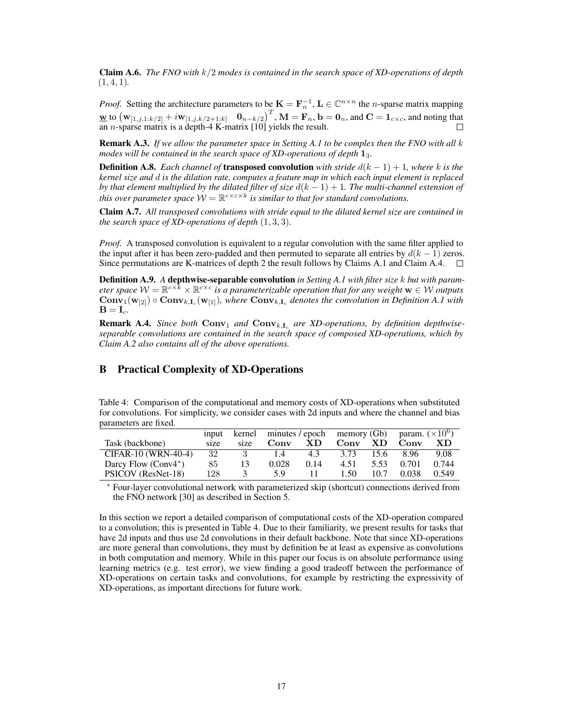Claim A.6. *The FNO with* k/2 *modes is contained in the search space of XD-operations of depth* (1, 4, 1)*.*

*Proof.* Setting the architecture parameters to be  $K = F_n^{-1}$ ,  $L \in \mathbb{C}^{n \times n}$  the *n*-sparse matrix mapping  $\mathbf{w}$  to  $(\mathbf{w}_{[1,j,1:k/2]} + i\mathbf{w}_{[1,j,k/2+1:k]}$   $(\mathbf{0}_{n-k/2})^T$ ,  $\mathbf{M} = \mathbf{F}_n$ ,  $\mathbf{b} = \mathbf{0}_n$ , and  $\mathbf{C} = \mathbf{1}_{c \times c}$ , and noting that an *n*-sparse matrix is a depth-4 K-matrix  $[10]$  yields the result.

Remark A.3. *If we allow the parameter space in Setting [A.1](#page-14-0) to be complex then the FNO with all* k *modes will be contained in the search space of XD-operations of depth* 13*.*

**Definition A.8.** *Each channel of* **transposed convolution** *with stride*  $d(k - 1) + 1$ *, where* k is the *kernel size and* d *is the dilation rate, computes a feature map in which each input element is replaced by that element multiplied by the dilated filter of size* d(k − 1) + 1*. The multi-channel extension of this over parameter space*  $W = \mathbb{R}^{c \times c \times k}$  *is similar to that for standard convolutions.* 

Claim A.7. *All transposed convolutions with stride equal to the dilated kernel size are contained in the search space of XD-operations of depth*  $(1, 3, 3)$ *.* 

*Proof.* A transposed convolution is equivalent to a regular convolution with the same filter applied to the input after it has been zero-padded and then permuted to separate all entries by  $d(k - 1)$  zeros. Since permutations are K-matrices of depth 2 the result follows by Claims [A.1](#page-14-2) and Claim [A.4.](#page-15-0)  $\square$ 

Definition A.9. *A* depthwise-separable convolution *in Setting [A.1](#page-14-0) with filter size* k *but with param*eter space  $W = \mathbb{R}^{c \times k} \times \mathbb{R}^{c \times c}$  is a parameterizable operation that for any weight  $\mathbf{w} \in \mathcal{W}$  outputs  $Conv_1(w_{[2]}) \circ Conv_{k,I_c}(w_{[1]}),$  where  $Conv_{k,I_c}$  denotes the convolution in Definition [A.1](#page-14-1) with  $B = I_c$ .

**Remark A.4.** *Since both*  $Conv_1$  *and*  $Conv_{k,I_c}$  *are XD-operations, by definition depthwiseseparable convolutions are contained in the search space of composed XD-operations, which by Claim [A.2](#page-14-3) also contains all of the above operations.*

# B Practical Complexity of XD-Operations

<span id="page-16-0"></span>

| Table 4: Comparison of the computational and memory costs of XD-operations when substituted       |
|---------------------------------------------------------------------------------------------------|
| for convolutions. For simplicity, we consider cases with 2d inputs and where the channel and bias |
| parameters are fixed.                                                                             |

|                        | 1 <sub>nput</sub> | kernel | minutes / epoch memory (Gb) param. $(\times 10^6)$ |      |      |      |       |       |
|------------------------|-------------------|--------|----------------------------------------------------|------|------|------|-------|-------|
| Task (backbone)        | size              | size   | Conv                                               | XD.  | Conv | XD.  | Conv  | XD    |
| CIFAR-10 (WRN-40-4)    | 32                |        | 1.4                                                | 4.3  | 3.73 | 15.6 | 896   | 9.08  |
| Darcy Flow $(Conv4^*)$ | 85.               | 13     | 0.028                                              | 0.14 | 4.51 | 5.53 | 0.701 | 0.744 |
| PSICOV (ResNet-18)     | 128               | 3      | 5.9                                                |      | 1.50 | 10.7 | 0.038 | 0.549 |

<sup>∗</sup> Four-layer convolutional network with parameterized skip (shortcut) connections derived from the FNO network [\[30\]](#page-12-2) as described in Section [5.](#page-7-0)

In this section we report a detailed comparison of computational costs of the XD-operation compared to a convolution; this is presented in Table [4.](#page-16-0) Due to their familiarity, we present results for tasks that have 2d inputs and thus use 2d convolutions in their default backbone. Note that since XD-operations are more general than convolutions, they must by definition be at least as expensive as convolutions in both computation and memory. While in this paper our focus is on absolute performance using learning metrics (e.g. test error), we view finding a good tradeoff between the performance of XD-operations on certain tasks and convolutions, for example by restricting the expressivity of XD-operations, as important directions for future work.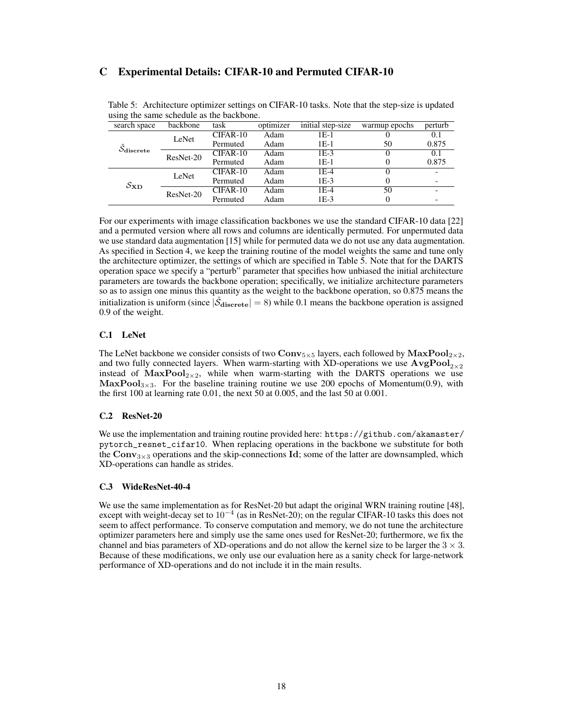# C Experimental Details: CIFAR-10 and Permuted CIFAR-10

| ÷<br>search space     | backbone  | task       | optimizer | initial step-size | warmup epochs | perturb |
|-----------------------|-----------|------------|-----------|-------------------|---------------|---------|
|                       | LeNet     | CIFAR-10   | Adam      | 1E-1              |               | 0.1     |
|                       |           | Permuted   | Adam      | 1E-1              | 50            | 0.875   |
| O <sub>discrete</sub> | ResNet-20 | $CIFAR-10$ | Adam      | $IE-3$            | O             | 0.1     |
|                       |           | Permuted   | Adam      | $1E-1$            |               | 0.875   |
|                       | LeNet     | CIFAR-10   | Adam      | $1E-4$            | $\theta$      |         |
| $S_{\rm WD}$          |           | Permuted   | Adam      | $1E-3$            |               |         |
|                       | ResNet-20 | $CIFAR-10$ | Adam      | $1E-4$            | 50            |         |
|                       |           | Permuted   | Adam      | $1E-3$            |               |         |

<span id="page-17-0"></span>Table 5: Architecture optimizer settings on CIFAR-10 tasks. Note that the step-size is updated using the same schedule as the backbone.

For our experiments with image classification backbones we use the standard CIFAR-10 data [\[22\]](#page-11-14) and a permuted version where all rows and columns are identically permuted. For unpermuted data we use standard data augmentation [\[15\]](#page-11-6) while for permuted data we do not use any data augmentation. As specified in Section [4,](#page-5-1) we keep the training routine of the model weights the same and tune only the architecture optimizer, the settings of which are specified in Table [5.](#page-17-0) Note that for the DARTS operation space we specify a "perturb" parameter that specifies how unbiased the initial architecture parameters are towards the backbone operation; specifically, we initialize architecture parameters so as to assign one minus this quantity as the weight to the backbone operation, so 0.875 means the initialization is uniform (since  $|\tilde{\mathcal{S}}_{\text{discrete}}| = 8$ ) while 0.1 means the backbone operation is assigned 0.9 of the weight.

### C.1 LeNet

The LeNet backbone we consider consists of two  $Conv_{5\times 5}$  layers, each followed by  $MaxPool_{2\times 2}$ , and two fully connected layers. When warm-starting with XD-operations we use  $AvgPool_{2\times2}$ instead of  $MaxPool_{2\times 2}$ , while when warm-starting with the DARTS operations we use MaxPool<sub>3×3</sub>. For the baseline training routine we use 200 epochs of Momentum(0.9), with the first 100 at learning rate 0.01, the next 50 at 0.005, and the last 50 at 0.001.

### C.2 ResNet-20

We use the implementation and training routine provided here: [https://github.com/akamaster/](https://github.com/akamaster/pytorch_resnet_cifar10) [pytorch\\_resnet\\_cifar10](https://github.com/akamaster/pytorch_resnet_cifar10). When replacing operations in the backbone we substitute for both the Conv<sub>3×3</sub> operations and the skip-connections Id; some of the latter are downsampled, which XD-operations can handle as strides.

### C.3 WideResNet-40-4

We use the same implementation as for ResNet-20 but adapt the original WRN training routine [\[48\]](#page-13-7), except with weight-decay set to 10<sup>−</sup><sup>4</sup> (as in ResNet-20); on the regular CIFAR-10 tasks this does not seem to affect performance. To conserve computation and memory, we do not tune the architecture optimizer parameters here and simply use the same ones used for ResNet-20; furthermore, we fix the channel and bias parameters of XD-operations and do not allow the kernel size to be larger the  $3 \times 3$ . Because of these modifications, we only use our evaluation here as a sanity check for large-network performance of XD-operations and do not include it in the main results.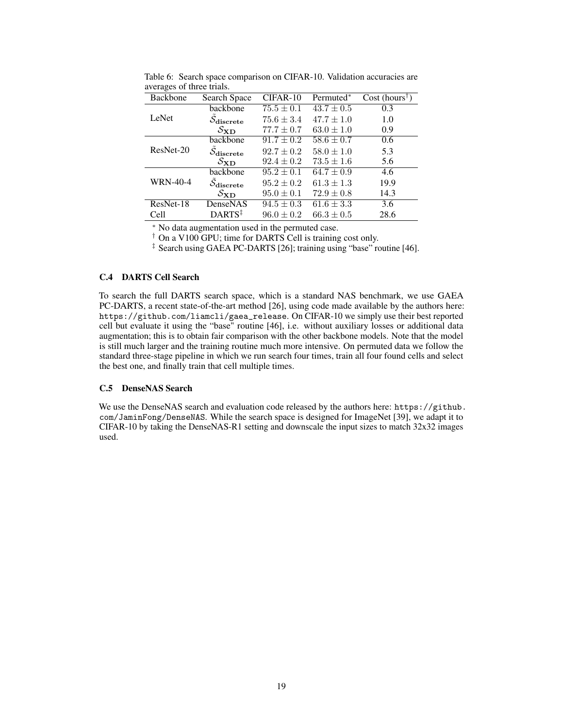| ັ<br>Backbone   | Search Space                          | CIFAR-10       | Permuted*      | Cost (hours <sup>†</sup> ) |
|-----------------|---------------------------------------|----------------|----------------|----------------------------|
|                 | backbone                              | $75.5 \pm 0.1$ | $43.7 \pm 0.5$ | 0.3                        |
| LeNet           | $\mathcal{S}_{\text{discrete}}$       | $75.6 \pm 3.4$ | $47.7 \pm 1.0$ | 1.0                        |
|                 | $\mathcal{S}_{\mathbf{X}\mathbf{D}}$  | $77.7 \pm 0.7$ | $63.0 \pm 1.0$ | 0.9                        |
|                 | backbone                              | $91.7 \pm 0.2$ | $58.6 \pm 0.7$ | 0.6                        |
| ResNet-20       | $\mathcal{S}_{\text{discrete}}$       | $92.7 \pm 0.2$ | $58.0 \pm 1.0$ | 5.3                        |
|                 | $S_{\rm WD}$                          | $92.4 \pm 0.2$ | $73.5 \pm 1.6$ | 5.6                        |
|                 | backbone                              | $95.2 \pm 0.1$ | $64.7 \pm 0.9$ | 4.6                        |
| <b>WRN-40-4</b> | $\tilde{\mathcal{S}}_\text{discrete}$ | $95.2 \pm 0.2$ | $61.3 \pm 1.3$ | 19.9                       |
|                 | $\mathcal{S}_{\mathbf{X}\mathbf{D}}$  | $95.0 \pm 0.1$ | $72.9 \pm 0.8$ | 14.3                       |
| ResNet-18       | DenseNAS                              | $94.5 \pm 0.3$ | $61.6 \pm 3.3$ | 3.6                        |
| Cell            | $DARTS^{\ddagger}$                    | $96.0 \pm 0.2$ | $66.3 \pm 0.5$ | 28.6                       |

Table 6: Search space comparison on CIFAR-10. Validation accuracies are averages of three trials.

<sup>∗</sup> No data augmentation used in the permuted case.

† On a V100 GPU; time for DARTS Cell is training cost only.

‡ Search using GAEA PC-DARTS [\[26\]](#page-11-1); training using "base" routine [\[46\]](#page-13-5).

# C.4 DARTS Cell Search

To search the full DARTS search space, which is a standard NAS benchmark, we use GAEA PC-DARTS, a recent state-of-the-art method [\[26\]](#page-11-1), using code made available by the authors here: [https://github.com/liamcli/gaea\\_release](https://github.com/liamcli/gaea_release). On CIFAR-10 we simply use their best reported cell but evaluate it using the "base" routine [\[46\]](#page-13-5), i.e. without auxiliary losses or additional data augmentation; this is to obtain fair comparison with the other backbone models. Note that the model is still much larger and the training routine much more intensive. On permuted data we follow the standard three-stage pipeline in which we run search four times, train all four found cells and select the best one, and finally train that cell multiple times.

### C.5 DenseNAS Search

We use the DenseNAS search and evaluation code released by the authors here: [https://github.](https://github.com/JaminFong/DenseNAS) [com/JaminFong/DenseNAS](https://github.com/JaminFong/DenseNAS). While the search space is designed for ImageNet [\[39\]](#page-12-15), we adapt it to CIFAR-10 by taking the DenseNAS-R1 setting and downscale the input sizes to match  $32x32$  images used.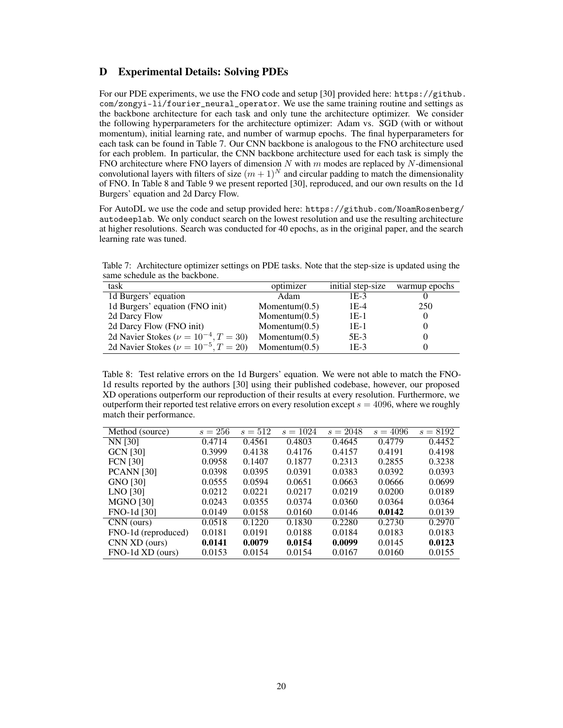# D Experimental Details: Solving PDEs

For our PDE experiments, we use the FNO code and setup [\[30\]](#page-12-2) provided here: [https://github.](https://github.com/zongyi-li/fourier_neural_operator) [com/zongyi-li/fourier\\_neural\\_operator](https://github.com/zongyi-li/fourier_neural_operator). We use the same training routine and settings as the backbone architecture for each task and only tune the architecture optimizer. We consider the following hyperparameters for the architecture optimizer: Adam vs. SGD (with or without momentum), initial learning rate, and number of warmup epochs. The final hyperparameters for each task can be found in Table [7.](#page-19-0) Our CNN backbone is analogous to the FNO architecture used for each problem. In particular, the CNN backbone architecture used for each task is simply the FNO architecture where FNO layers of dimension N with  $m$  modes are replaced by N-dimensional convolutional layers with filters of size  $(m + 1)^N$  and circular padding to match the dimensionality of FNO. In Table [8](#page-19-1) and Table [9](#page-20-0) we present reported [\[30\]](#page-12-2), reproduced, and our own results on the 1d Burgers' equation and 2d Darcy Flow.

For AutoDL we use the code and setup provided here: [https://github.com/NoamRosenberg/](https://github.com/NoamRosenberg/autodeeplab) [autodeeplab](https://github.com/NoamRosenberg/autodeeplab). We only conduct search on the lowest resolution and use the resulting architecture at higher resolutions. Search was conducted for 40 epochs, as in the original paper, and the search learning rate was tuned.

<span id="page-19-0"></span>Table 7: Architecture optimizer settings on PDE tasks. Note that the step-size is updated using the same schedule as the backbone.

| task                                            | optimizer        | initial step-size | warmup epochs |
|-------------------------------------------------|------------------|-------------------|---------------|
| 1d Burgers' equation                            | Adam             | $1E-3$            |               |
| 1d Burgers' equation (FNO init)                 | Momentum $(0.5)$ | 1E-4              | 250           |
| 2d Darcy Flow                                   | Momentum $(0.5)$ | 1E-1              |               |
| 2d Darcy Flow (FNO init)                        | Momentum $(0.5)$ | 1E-1              |               |
| 2d Navier Stokes ( $\nu = 10^{-4}$ , $T = 30$ ) | Momentum $(0.5)$ | 5E-3              |               |
| 2d Navier Stokes ( $\nu = 10^{-5}$ , $T = 20$ ) | Momentum $(0.5)$ | $1E-3$            |               |

<span id="page-19-1"></span>Table 8: Test relative errors on the 1d Burgers' equation. We were not able to match the FNO-1d results reported by the authors [\[30\]](#page-12-2) using their published codebase, however, our proposed XD operations outperform our reproduction of their results at every resolution. Furthermore, we outperform their reported test relative errors on every resolution except  $s = 4096$ , where we roughly match their performance.

| Method (source)     | $s = 256$ | $s = 512$ | $s = 1024$ | $s = 2048$ | $s = 4096$ | $s = 8192$ |
|---------------------|-----------|-----------|------------|------------|------------|------------|
| NN [30]             | 0.4714    | 0.4561    | 0.4803     | 0.4645     | 0.4779     | 0.4452     |
| <b>GCN</b> [30]     | 0.3999    | 0.4138    | 0.4176     | 0.4157     | 0.4191     | 0.4198     |
| <b>FCN</b> [30]     | 0.0958    | 0.1407    | 0.1877     | 0.2313     | 0.2855     | 0.3238     |
| <b>PCANN</b> [30]   | 0.0398    | 0.0395    | 0.0391     | 0.0383     | 0.0392     | 0.0393     |
| <b>GNO</b> [30]     | 0.0555    | 0.0594    | 0.0651     | 0.0663     | 0.0666     | 0.0699     |
| LNO [30]            | 0.0212    | 0.0221    | 0.0217     | 0.0219     | 0.0200     | 0.0189     |
| <b>MGNO [30]</b>    | 0.0243    | 0.0355    | 0.0374     | 0.0360     | 0.0364     | 0.0364     |
| FNO-1d [30]         | 0.0149    | 0.0158    | 0.0160     | 0.0146     | 0.0142     | 0.0139     |
| CNN (ours)          | 0.0518    | 0.1220    | 0.1830     | 0.2280     | 0.2730     | 0.2970     |
| FNO-1d (reproduced) | 0.0181    | 0.0191    | 0.0188     | 0.0184     | 0.0183     | 0.0183     |
| CNN XD (ours)       | 0.0141    | 0.0079    | 0.0154     | 0.0099     | 0.0145     | 0.0123     |
| FNO-1d XD (ours)    | 0.0153    | 0.0154    | 0.0154     | 0.0167     | 0.0160     | 0.0155     |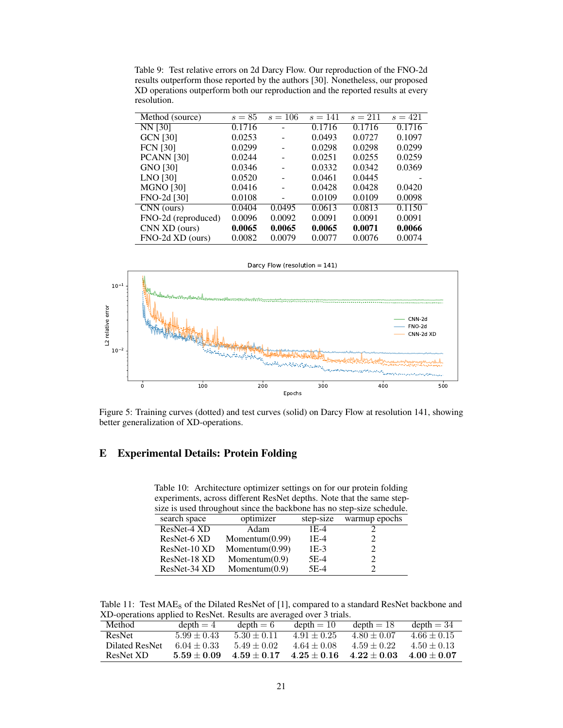<span id="page-20-0"></span>Table 9: Test relative errors on 2d Darcy Flow. Our reproduction of the FNO-2d results outperform those reported by the authors [\[30\]](#page-12-2). Nonetheless, our proposed XD operations outperform both our reproduction and the reported results at every resolution.

| Method (source)                | $s=85$ | $s = 106$ | $s = 141$ | $s = 211$ | $s = 421$ |
|--------------------------------|--------|-----------|-----------|-----------|-----------|
| NN [30]                        | 0.1716 |           | 0.1716    | 0.1716    | 0.1716    |
| <b>GCN [30]</b>                | 0.0253 |           | 0.0493    | 0.0727    | 0.1097    |
| <b>FCN</b> [30]                | 0.0299 |           | 0.0298    | 0.0298    | 0.0299    |
| <b>PCANN</b> [30]              | 0.0244 |           | 0.0251    | 0.0255    | 0.0259    |
| GNO [30]                       | 0.0346 |           | 0.0332    | 0.0342    | 0.0369    |
| LNO [30]                       | 0.0520 |           | 0.0461    | 0.0445    |           |
| <b>MGNO [30]</b>               | 0.0416 |           | 0.0428    | 0.0428    | 0.0420    |
| FNO-2d [30]                    | 0.0108 |           | 0.0109    | 0.0109    | 0.0098    |
| $\overline{\text{CNN}}$ (ours) | 0.0404 | 0.0495    | 0.0613    | 0.0813    | 0.1150    |
| FNO-2d (reproduced)            | 0.0096 | 0.0092    | 0.0091    | 0.0091    | 0.0091    |
| CNN XD (ours)                  | 0.0065 | 0.0065    | 0.0065    | 0.0071    | 0.0066    |
| FNO-2d XD (ours)               | 0.0082 | 0.0079    | 0.0077    | 0.0076    | 0.0074    |



Figure 5: Training curves (dotted) and test curves (solid) on Darcy Flow at resolution 141, showing better generalization of XD-operations.

# <span id="page-20-1"></span>E Experimental Details: Protein Folding

Table 10: Architecture optimizer settings on for our protein folding experiments, across different ResNet depths. Note that the same stepsize is used throughout since the backbone has no step-size schedule.

|              | $\frac{1}{2}$ is good and agriculture and cubicome now no step since sensories |           |               |  |  |  |  |  |
|--------------|--------------------------------------------------------------------------------|-----------|---------------|--|--|--|--|--|
| search space | optimizer                                                                      | step-size | warmup epochs |  |  |  |  |  |
| ResNet-4 XD  | Adam                                                                           | 1E-4      |               |  |  |  |  |  |
| ResNet-6 XD  | Momentum $(0.99)$                                                              | $1E-4$    |               |  |  |  |  |  |
| ResNet-10 XD | Momentum $(0.99)$                                                              | $1E-3$    |               |  |  |  |  |  |
| ResNet-18 XD | Momentum $(0.9)$                                                               | $5E-4$    |               |  |  |  |  |  |
| ResNet-34 XD | Momentum $(0.9)$                                                               | $5E-4$    |               |  |  |  |  |  |
|              |                                                                                |           |               |  |  |  |  |  |

<span id="page-20-2"></span>Table 11: Test  $MAE_8$  of the Dilated ResNet of [\[1\]](#page-10-2), compared to a standard ResNet backbone and XD-operations applied to ResNet. Results are averaged over 3 trials.

| Method         | $depth = 4$     | $depth = 6$     | $depth = 10$    | $depth = 18$    | $depth = 34$    |
|----------------|-----------------|-----------------|-----------------|-----------------|-----------------|
| ResNet         | $5.99 \pm 0.43$ | $5.30 \pm 0.11$ | $4.91 \pm 0.25$ | $4.80 \pm 0.07$ | $4.66 \pm 0.15$ |
| Dilated ResNet | $6.04 \pm 0.33$ | $5.49 \pm 0.02$ | $4.64 \pm 0.08$ | $4.59 \pm 0.22$ | $4.50 \pm 0.13$ |
| ResNet XD      | $5.59 + 0.09$   | $4.59 + 0.17$   | $4.25 \pm 0.16$ | $4.22 \pm 0.03$ | $4.00 + 0.07$   |